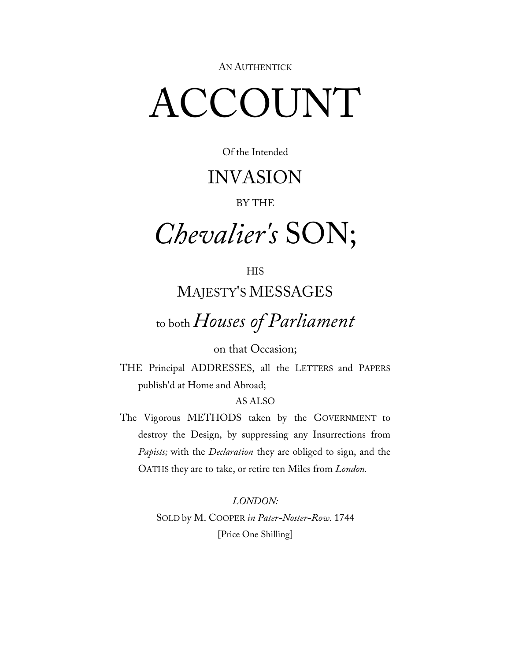AN AUTHENTICK

## ACCOUNT

#### Of the Intended

## INVASION

#### BY THE

## *Chevalier's* SON;

## **HIS** MAJESTY'S MESSAGES

## to both *Houses of Parliament*

#### on that Occasion;

THE Principal ADDRESSES, all the LETTERS and PAPERS publish'd at Home and Abroad;

#### AS ALSO

The Vigorous METHODS taken by the GOVERNMENT to destroy the Design, by suppressing any Insurrections from *Papists;* with the *Declaration* they are obliged to sign, and the OATHS they are to take, or retire ten Miles from *London.*

> *LONDON:* SOLD by M. COOPER *in Pater-Noster-Row.* 1744 [Price One Shilling]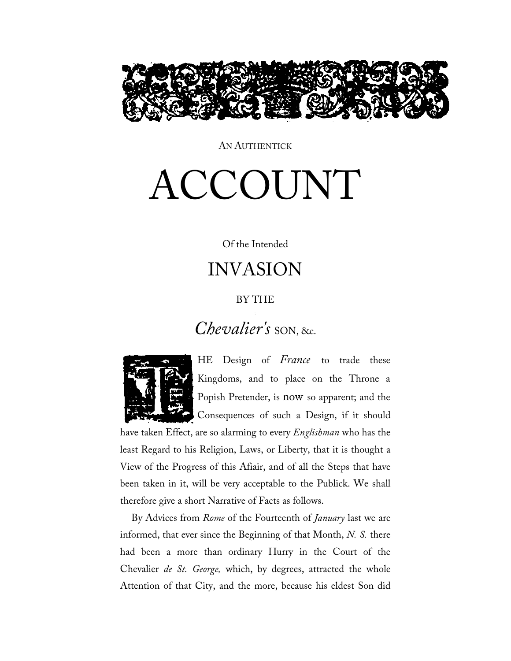

AN AUTHENTICK

# ACCOUNT

#### Of the Intended

## INVASION

#### BY THE

## *Chevalier's* SON, &c.



HE Design of *France* to trade these Kingdoms, and to place on the Throne a Popish Pretender, is now so apparent; and the Consequences of such a Design, if it should

have taken Effect, are so alarming to every *Englishman* who has the least Regard to his Religion, Laws, or Liberty, that it is thought a View of the Progress of this Afiair, and of all the Steps that have been taken in it, will be very acceptable to the Publick. We shall therefore give a short Narrative of Facts as follows.

By Advices from *Rome* of the Fourteenth of *January* last we are informed, that ever since the Beginning of that Month, *N. S.* there had been a more than ordinary Hurry in the Court of the Chevalier *de St. George,* which, by degrees, attracted the whole Attention of that City, and the more, because his eldest Son did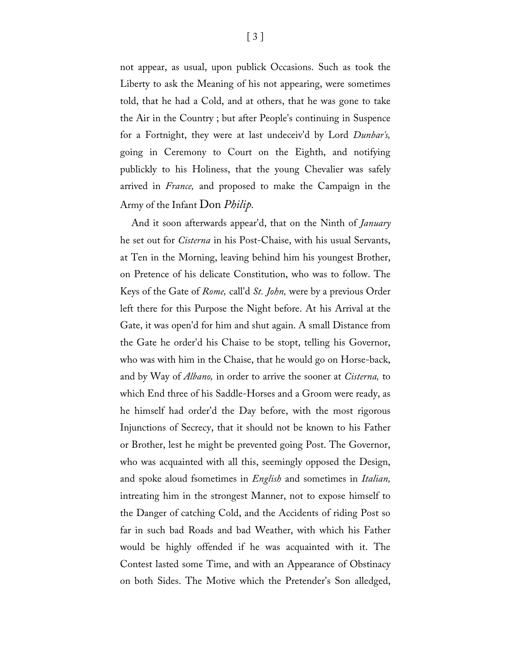not appear, as usual, upon publick Occasions. Such as took the Liberty to ask the Meaning of his not appearing, were sometimes told, that he had a Cold, and at others, that he was gone to take the Air in the Country ; but after People's continuing in Suspence for a Fortnight, they were at last undeceiv'd by Lord *Dunbar's,*  going in Ceremony to Court on the Eighth, and notifying publickly to his Holiness, that the young Chevalier was safely arrived in *France,* and proposed to make the Campaign in the Army of the Infant Don *Philip.*

And it soon afterwards appear'd, that on the Ninth of *January*  he set out for *Cisterna* in his Post-Chaise, with his usual Servants, at Ten in the Morning, leaving behind him his youngest Brother, on Pretence of his delicate Constitution, who was to follow. The Keys of the Gate of *Rome,* call'd *St. John,* were by a previous Order left there for this Purpose the Night before. At his Arrival at the Gate, it was open'd for him and shut again. A small Distance from the Gate he order'd his Chaise to be stopt, telling his Governor, who was with him in the Chaise, that he would go on Horse-back, and by Way of *Albano,* in order to arrive the sooner at *Cisterna,* to which End three of his Saddle-Horses and a Groom were ready, as he himself had order'd the Day before, with the most rigorous Injunctions of Secrecy, that it should not be known to his Father or Brother, lest he might be prevented going Post. The Governor, who was acquainted with all this, seemingly opposed the Design, and spoke aloud fsometimes in *English* and sometimes in *Italian,*  intreating him in the strongest Manner, not to expose himself to the Danger of catching Cold, and the Accidents of riding Post so far in such bad Roads and bad Weather, with which his Father would be highly offended if he was acquainted with it. The Contest lasted some Time, and with an Appearance of Obstinacy on both Sides. The Motive which the Pretender's Son alledged,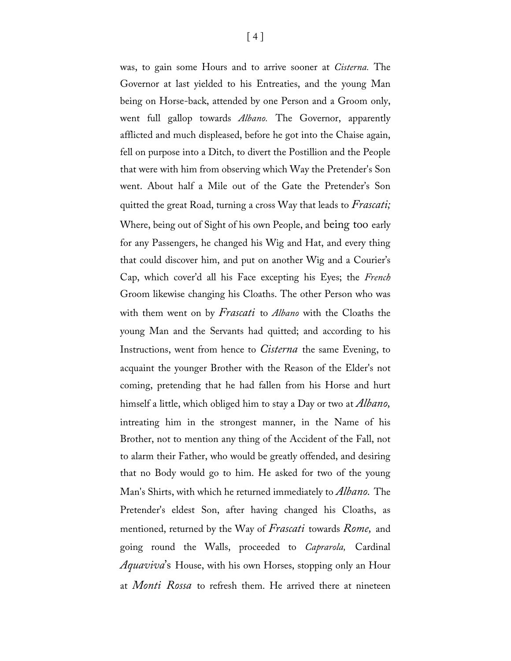was, to gain some Hours and to arrive sooner at *Cisterna.* The Governor at last yielded to his Entreaties, and the young Man being on Horse-back, attended by one Person and a Groom only, went full gallop towards *Albano.* The Governor, apparently afflicted and much displeased, before he got into the Chaise again, fell on purpose into a Ditch, to divert the Postillion and the People that were with him from observing which Way the Pretender's Son went. About half a Mile out of the Gate the Pretender's Son quitted the great Road, turning a cross Way that leads to *Frascati;* Where, being out of Sight of his own People, and being too early for any Passengers, he changed his Wig and Hat, and every thing that could discover him, and put on another Wig and a Courier's Cap, which cover'd all his Face excepting his Eyes; the *French* Groom likewise changing his Cloaths. The other Person who was with them went on by *Frascati* to *Albano* with the Cloaths the young Man and the Servants had quitted; and according to his Instructions, went from hence to *Cisterna* the same Evening, to acquaint the younger Brother with the Reason of the Elder's not coming, pretending that he had fallen from his Horse and hurt himself a little, which obliged him to stay a Day or two at *Albano,* intreating him in the strongest manner, in the Name of his Brother, not to mention any thing of the Accident of the Fall, not to alarm their Father, who would be greatly offended, and desiring that no Body would go to him. He asked for two of the young Man's Shirts, with which he returned immediately to *Albano.* The Pretender's eldest Son, after having changed his Cloaths, as mentioned, returned by the Way of *Frascati* towards *Rome,* and going round the Walls, proceeded to *Caprarola,* Cardinal *Aquaviva*'s House, with his own Horses, stopping only an Hour at *Monti Rossa* to refresh them. He arrived there at nineteen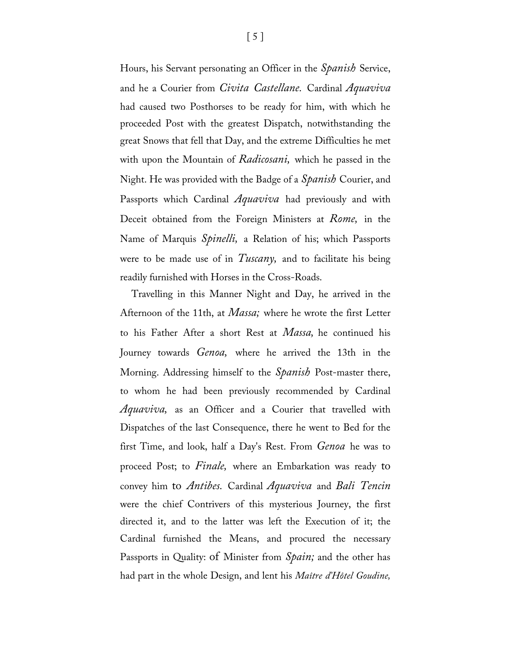Hours, his Servant personating an Officer in the *Spanish* Service, and he a Courier from *Civita Castellane.* Cardinal *Aquaviva*  had caused two Posthorses to be ready for him, with which he proceeded Post with the greatest Dispatch, notwithstanding the great Snows that fell that Day, and the extreme Difficulties he met with upon the Mountain of *Radicosani,* which he passed in the Night. He was provided with the Badge of a *Spanish* Courier, and Passports which Cardinal *Aquaviva* had previously and with Deceit obtained from the Foreign Ministers at *Rome,* in the Name of Marquis *Spinelli,* a Relation of his; which Passports were to be made use of in *Tuscany,* and to facilitate his being readily furnished with Horses in the Cross-Roads.

Travelling in this Manner Night and Day, he arrived in the Afternoon of the 11th, at *Massa;* where he wrote the first Letter to his Father After a short Rest at *Massa,* he continued his Journey towards *Genoa,* where he arrived the 13th in the Morning. Addressing himself to the *Spanish* Post-master there, to whom he had been previously recommended by Cardinal *Aquaviva,* as an Officer and a Courier that travelled with Dispatches of the last Consequence, there he went to Bed for the first Time, and look, half a Day's Rest. From *Genoa* he was to proceed Post; to *Finale,* where an Embarkation was ready to convey him to *Antibes.* Cardinal *Aquaviva* and *Bali Tencin*  were the chief Contrivers of this mysterious Journey, the first directed it, and to the latter was left the Execution of it; the Cardinal furnished the Means, and procured the necessary Passports in Quality: of Minister from *Spain;* and the other has had part in the whole Design, and lent his *Maître d'Hôtel Goudine,*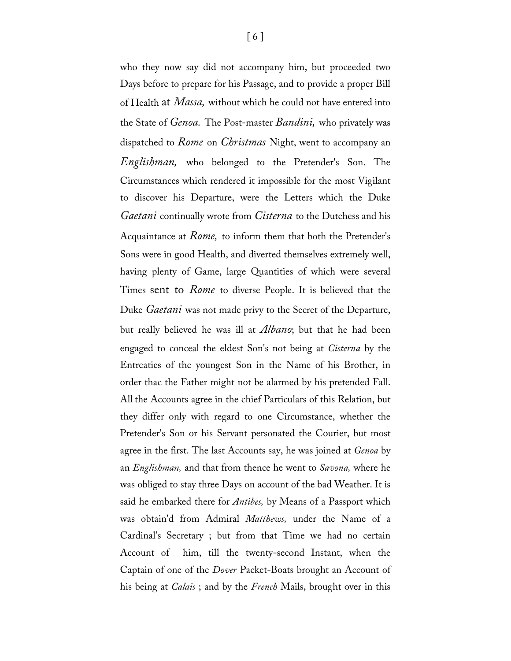who they now say did not accompany him, but proceeded two Days before to prepare for his Passage, and to provide a proper Bill of Health at *Massa,* without which he could not have entered into the State of *Genoa.* The Post-master *Bandini,* who privately was dispatched to *Rome* on *Christmas* Night, went to accompany an *Englishman,* who belonged to the Pretender's Son. The Circumstances which rendered it impossible for the most Vigilant to discover his Departure, were the Letters which the Duke *Gaetani* continually wrote from *Cisterna* to the Dutchess and his Acquaintance at *Rome,* to inform them that both the Pretender's Sons were in good Health, and diverted themselves extremely well, having plenty of Game, large Quantities of which were several Times sent to *Rome* to diverse People. It is believed that the Duke *Gaetani* was not made privy to the Secret of the Departure, but really believed he was ill at *Albano*; but that he had been engaged to conceal the eldest Son's not being at *Cisterna* by the Entreaties of the youngest Son in the Name of his Brother, in order thac the Father might not be alarmed by his pretended Fall. All the Accounts agree in the chief Particulars of this Relation, but they differ only with regard to one Circumstance, whether the Pretender's Son or his Servant personated the Courier, but most agree in the first. The last Accounts say, he was joined at *Genoa* by an *Englishman,* and that from thence he went to *Savona,* where he was obliged to stay three Days on account of the bad Weather. It is said he embarked there for *Antibes,* by Means of a Passport which was obtain'd from Admiral *Matthews,* under the Name of a Cardinal's Secretary ; but from that Time we had no certain Account of him, till the twenty-second Instant, when the Captain of one of the *Dover* Packet-Boats brought an Account of his being at *Calais* ; and by the *French* Mails, brought over in this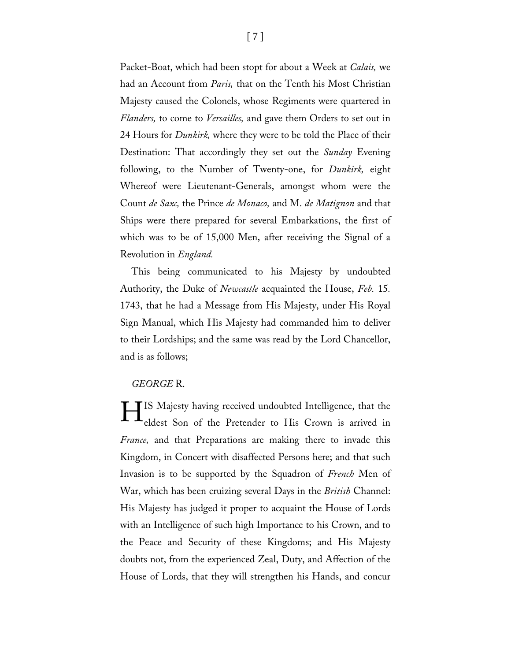Packet-Boat, which had been stopt for about a Week at *Calais,* we had an Account from *Paris,* that on the Tenth his Most Christian Majesty caused the Colonels, whose Regiments were quartered in *Flanders,* to come to *Versailles,* and gave them Orders to set out in 24 Hours for *Dunkirk,* where they were to be told the Place of their Destination: That accordingly they set out the *Sunday* Evening following, to the Number of Twenty-one, for *Dunkirk,* eight Whereof were Lieutenant-Generals, amongst whom were the Count *de Saxc,* the Prince *de Monaco,* and M. *de Matignon* and that Ships were there prepared for several Embarkations, the first of which was to be of 15,000 Men, after receiving the Signal of a Revolution in *England.*

This being communicated to his Majesty by undoubted Authority, the Duke of *Newcastle* acquainted the House, *Feb.* 15*.*  1743, that he had a Message from His Majesty, under His Royal Sign Manual, which His Majesty had commanded him to deliver to their Lordships; and the same was read by the Lord Chancellor, and is as follows;

#### *GEORGE* R.

**TIS Majesty having received undoubted Intelligence, that the** eldest Son of the Pretender to His Crown is arrived in *France,* and that Preparations are making there to invade this Kingdom, in Concert with disaffected Persons here; and that such Invasion is to be supported by the Squadron of *French* Men of War, which has been cruizing several Days in the *British* Channel: His Majesty has judged it proper to acquaint the House of Lords with an Intelligence of such high Importance to his Crown, and to the Peace and Security of these Kingdoms; and His Majesty doubts not, from the experienced Zeal, Duty, and Affection of the House of Lords, that they will strengthen his Hands, and concur H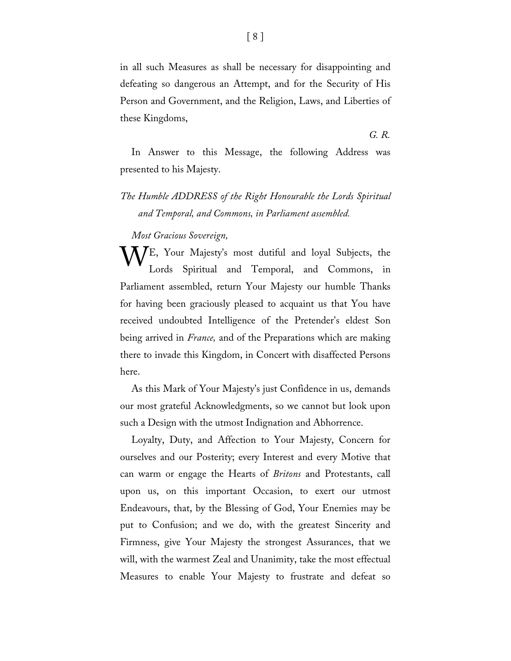in all such Measures as shall be necessary for disappointing and defeating so dangerous an Attempt, and for the Security of His Person and Government, and the Religion, Laws, and Liberties of these Kingdoms,

*G. R.*

In Answer to this Message, the following Address was presented to his Majesty.

#### *The Humble ADDRESS of the Right Honourable the Lords Spiritual and Temporal, and Commons, in Parliament assembled.*

*Most Gracious Sovereign,*

WE, Your Majesty's most dutiful and loyal Subjects, the Lords Spiritual and Temporal, and Commons, in Lords Spiritual and Temporal, and Commons, in Parliament assembled, return Your Majesty our humble Thanks for having been graciously pleased to acquaint us that You have received undoubted Intelligence of the Pretender's eldest Son being arrived in *France,* and of the Preparations which are making there to invade this Kingdom, in Concert with disaffected Persons here.

As this Mark of Your Majesty's just Confidence in us, demands our most grateful Acknowledgments, so we cannot but look upon such a Design with the utmost Indignation and Abhorrence.

Loyalty, Duty, and Affection to Your Majesty, Concern for ourselves and our Posterity; every Interest and every Motive that can warm or engage the Hearts of *Britons* and Protestants, call upon us, on this important Occasion, to exert our utmost Endeavours, that, by the Blessing of God, Your Enemies may be put to Confusion; and we do, with the greatest Sincerity and Firmness, give Your Majesty the strongest Assurances, that we will, with the warmest Zeal and Unanimity, take the most effectual Measures to enable Your Majesty to frustrate and defeat so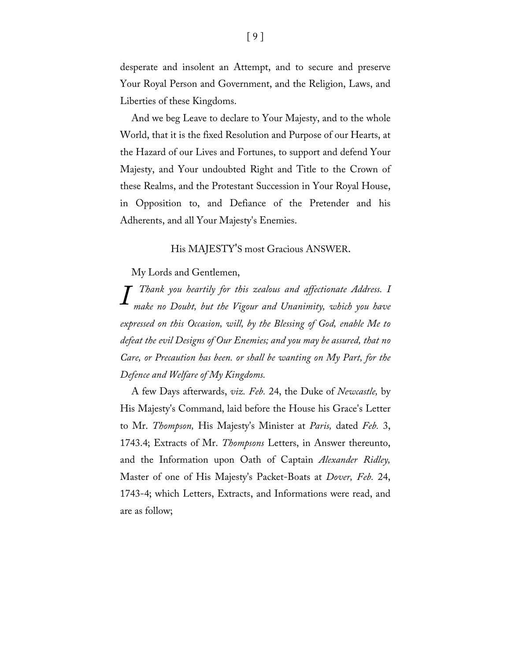desperate and insolent an Attempt, and to secure and preserve Your Royal Person and Government, and the Religion, Laws, and Liberties of these Kingdoms.

And we beg Leave to declare to Your Majesty, and to the whole World, that it is the fixed Resolution and Purpose of our Hearts, at the Hazard of our Lives and Fortunes, to support and defend Your Majesty, and Your undoubted Right and Title to the Crown of these Realms, and the Protestant Succession in Your Royal House, in Opposition to, and Defiance of the Pretender and his Adherents, and all Your Majesty's Enemies.

#### His MAJESTY'S most Gracious ANSWER.

My Lords and Gentlemen,

*Thank you heartily for this zealous and affectionate Address. I make no Doubt, but the Vigour and Unanimity, which you have expressed on this Occasion, will, by the Blessing of God, enable Me to defeat the evil Designs of Our Enemies; and you may be assured, that no Care, or Precaution has been. or shall be wanting on My Part, for the Defence and Welfare of My Kingdoms. I*

A few Days afterwards, *viz. Feb.* 24, the Duke of *Newcastle,* by His Majesty's Command, laid before the House his Grace's Letter to Mr. *Thompson,* His Majesty's Minister at *Paris,* dated *Feb.* 3, 1743.4; Extracts of Mr. *Thompsons* Letters, in Answer thereunto, and the Information upon Oath of Captain *Alexander Ridley,*  Master of one of His Majesty's Packet-Boats at *Dover, Feb.* 24, 1743-4; which Letters, Extracts, and Informations were read, and are as follow;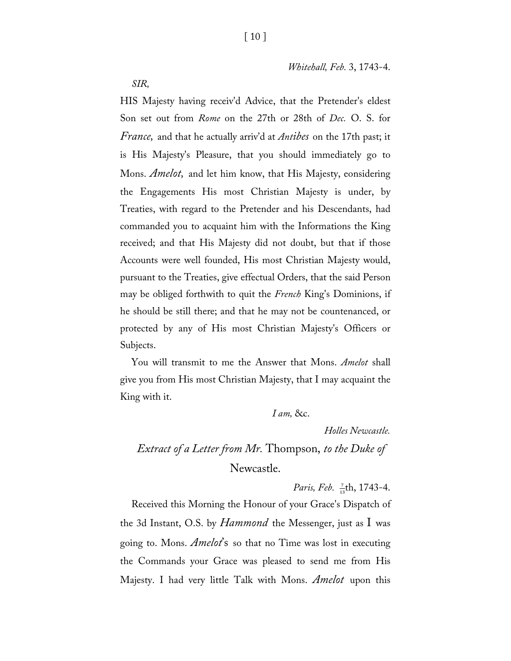*Whitehall, Feb.* 3, 1743-4.

*SIR,*

HIS Majesty having receiv'd Advice, that the Pretender's eldest Son set out from *Rome* on the 27th or 28th of *Dec.* O. S. for *France,* and that he actually arriv'd at *Antibes* on the 17th past; it is His Majesty's Pleasure, that you should immediately go to Mons. *Amelot,* and let him know, that His Majesty, eonsidering the Engagements His most Christian Majesty is under, by Treaties, with regard to the Pretender and his Descendants, had commanded you to acquaint him with the Informations the King received; and that His Majesty did not doubt, but that if those Accounts were well founded, His most Christian Majesty would, pursuant to the Treaties, give effectual Orders, that the said Person may be obliged forthwith to quit the *French* King's Dominions, if he should be still there; and that he may not be countenanced, or protected by any of His most Christian Majesty's Officers or Subjects.

You will transmit to me the Answer that Mons. *Amelot* shall give you from His most Christian Majesty, that I may acquaint the King with it.

*I am,* &c.

*Holles Newcastle.*

## *Extract of a Letter from Mr.* Thompson, *to the Duke of*  Newcastle.

*Paris, Feb.* <sup>7</sup><sub>13</sub>th, 1743-4.

Received this Morning the Honour of your Grace's Dispatch of the 3d Instant, O.S. by *Hammond* the Messenger, just as I was going to. Mons. *Amelot*'s so that no Time was lost in executing the Commands your Grace was pleased to send me from His Majesty. I had very little Talk with Mons. *Amelot* upon this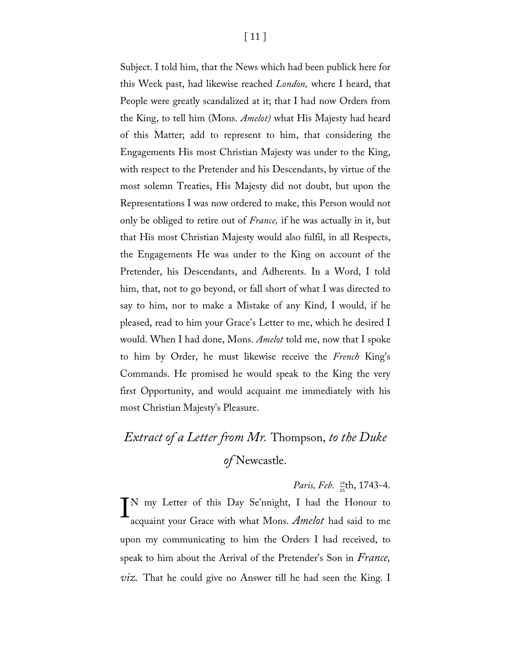Subject. I told him, that the News which had been publick here for this Week past, had likewise reached *London,* where I heard, that People were greatly scandalized at it; that I had now Orders from the King, to tell him (Mons. *Amelot)* what His Majesty had heard of this Matter; add to represent to him, that considering the Engagements His most Christian Majesty was under to the King, with respect to the Pretender and his Descendants, by virtue of the most solemn Treaties, His Majesty did not doubt, but upon the Representations I was now ordered to make, this Person would not only be obliged to retire out of *France,* if he was actually in it, but that His most Christian Majesty would also fulfil, in all Respects, the Engagements He was under to the King on account of the Pretender, his Descendants, and Adherents. In a Word, I told him, that, not to go beyond, or fall short of what I was directed to say to him, nor to make a Mistake of any Kind, I would, if he pleased, read to him your Grace's Letter to me, which he desired I would. When I had done, Mons. *Amelot* told me, now that I spoke to him by Order, he must likewise receive the *French* King's Commands. He promised he would speak to the King the very first Opportunity, and would acquaint me immediately with his most Christian Majesty's Pleasure.

## *Extract of a Letter from Mr.* Thompson, *to the Duke of* Newcastle.

*Paris, Feb.*  $\frac{14}{25}$ th, 1743-4.

 $\prod_{\text{acquaint}}$  your Grace with what Mons. *Amelot* had said to me acquaint your Grace with what Mons. *Amelot* had said to me upon my communicating to him the Orders I had received, to speak to him about the Arrival of the Pretender's Son in *France, viz.* That he could give no Answer till he had seen the King. I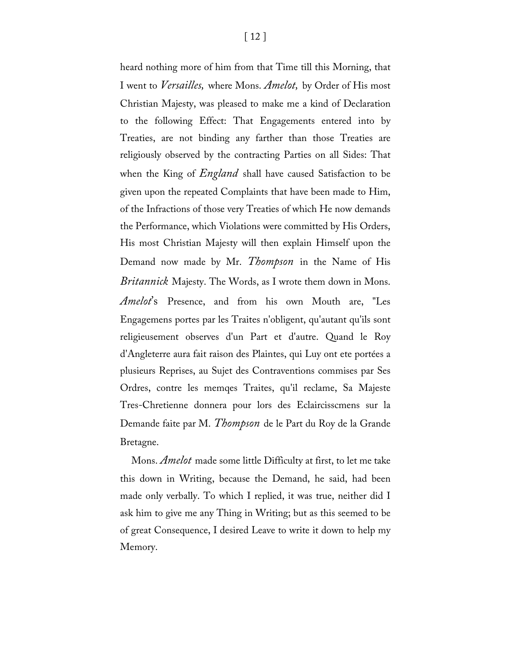heard nothing more of him from that Time till this Morning, that I went to *Versailles,* where Mons. *Amelot,* by Order of His most Christian Majesty, was pleased to make me a kind of Declaration to the following Effect: That Engagements entered into by Treaties, are not binding any farther than those Treaties are religiously observed by the contracting Parties on all Sides: That when the King of *England* shall have caused Satisfaction to be given upon the repeated Complaints that have been made to Him, of the Infractions of those very Treaties of which He now demands the Performance, which Violations were committed by His Orders, His most Christian Majesty will then explain Himself upon the Demand now made by Mr. *Thompson* in the Name of His *Britannick* Majesty. The Words, as I wrote them down in Mons. *Amelot*'s Presence, and from his own Mouth are, "Les Engagemens portes par les Traites n'obligent, qu'autant qu'ils sont religieusement observes d'un Part et d'autre. Quand le Roy d'Angleterre aura fait raison des Plaintes, qui Luy ont ete portées a plusieurs Reprises, au Sujet des Contraventions commises par Ses Ordres, contre les memqes Traites, qu'il reclame, Sa Majeste Tres-Chretienne donnera pour lors des Eclaircisscmens sur la Demande faite par M. *Thompson* de le Part du Roy de la Grande Bretagne.

Mons. *Amelot* made some little Difficulty at first, to let me take this down in Writing, because the Demand, he said, had been made only verbally. To which I replied, it was true, neither did I ask him to give me any Thing in Writing; but as this seemed to be of great Consequence, I desired Leave to write it down to help my Memory.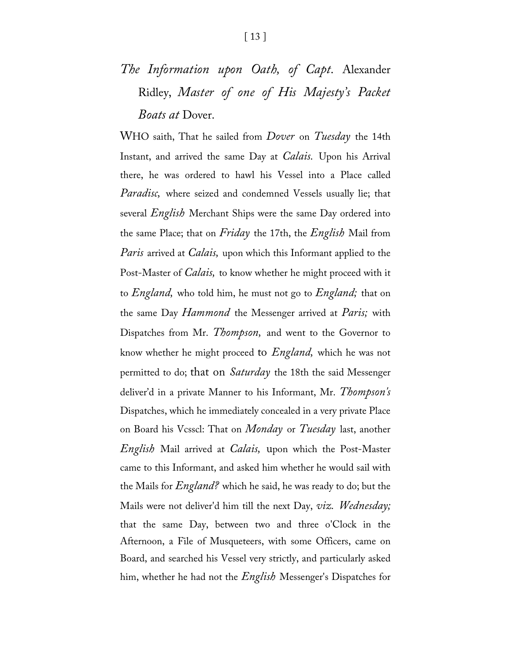## *The Information upon Oath, of Capt.* Alexander Ridley, *Master of one of His Majesty's Packet Boats at* Dover.

WHO saith, That he sailed from *Dover* on *Tuesday* the 14th Instant, and arrived the same Day at *Calais.* Upon his Arrival there, he was ordered to hawl his Vessel into a Place called *Paradisc,* where seized and condemned Vessels usually lie; that several *English* Merchant Ships were the same Day ordered into the same Place; that on *Friday* the 17th, the *English* Mail from *Paris* arrived at *Calais,* upon which this Informant applied to the Post-Master of *Calais,* to know whether he might proceed with it to *England,* who told him, he must not go to *England;* that on the same Day *Hammond* the Messenger arrived at *Paris;* with Dispatches from Mr. *Thompson,* and went to the Governor to know whether he might proceed to *England,* which he was not permitted to do; that on *Saturday* the 18th the said Messenger deliver'd in a private Manner to his Informant, Mr. *Thompson's*  Dispatches, which he immediately concealed in a very private Place on Board his Vcsscl: That on *Monday* or *Tuesday* last, another *English* Mail arrived at *Calais,* upon which the Post-Master came to this Informant, and asked him whether he would sail with the Mails for *England?* which he said, he was ready to do; but the Mails were not deliver'd him till the next Day, *viz. Wednesday;* that the same Day, between two and three o'Clock in the Afternoon, a File of Musqueteers, with some Officers, came on Board, and searched his Vessel very strictly, and particularly asked him, whether he had not the *English* Messenger's Dispatches for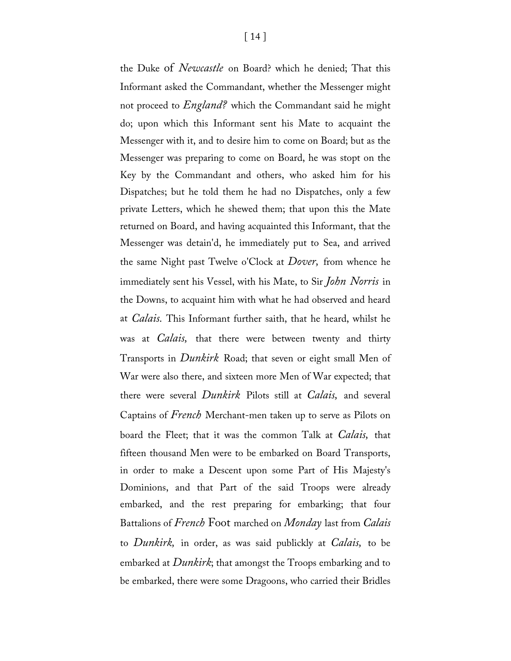the Duke of *Newcastle* on Board? which he denied; That this Informant asked the Commandant, whether the Messenger might not proceed to *England?* which the Commandant said he might do; upon which this Informant sent his Mate to acquaint the Messenger with it, and to desire him to come on Board; but as the Messenger was preparing to come on Board, he was stopt on the Key by the Commandant and others, who asked him for his Dispatches; but he told them he had no Dispatches, only a few private Letters, which he shewed them; that upon this the Mate returned on Board, and having acquainted this Informant, that the Messenger was detain'd, he immediately put to Sea, and arrived the same Night past Twelve o'Clock at *Dover,* from whence he immediately sent his Vessel, with his Mate, to Sir *John Norris* in the Downs, to acquaint him with what he had observed and heard at *Calais.* This Informant further saith, that he heard, whilst he was at *Calais,* that there were between twenty and thirty Transports in *Dunkirk* Road; that seven or eight small Men of War were also there, and sixteen more Men of War expected; that there were several *Dunkirk* Pilots still at *Calais,* and several Captains of *French* Merchant-men taken up to serve as Pilots on board the Fleet; that it was the common Talk at *Calais,* that fifteen thousand Men were to be embarked on Board Transports, in order to make a Descent upon some Part of His Majesty's Dominions, and that Part of the said Troops were already embarked, and the rest preparing for embarking; that four Battalions of *French* Foot marched on *Monday* last from *Calais*  to *Dunkirk,* in order, as was said publickly at *Calais,* to be embarked at *Dunkirk*; that amongst the Troops embarking and to be embarked, there were some Dragoons, who carried their Bridles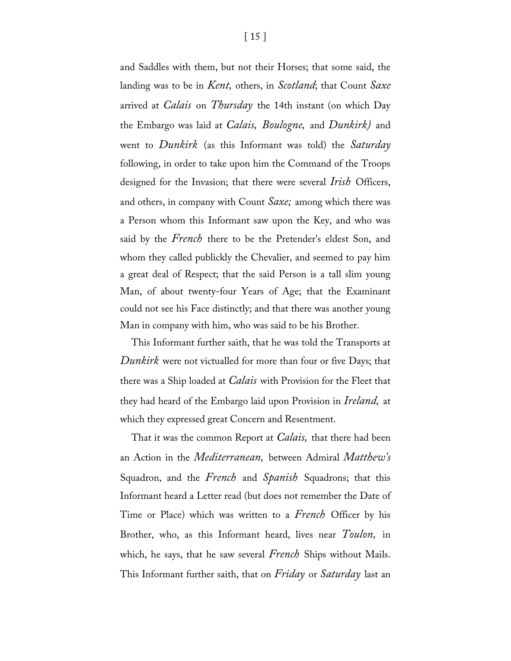and Saddles with them, but not their Horses; that some said, the landing was to be in *Kent,* others, in *Scotland*; that Count *Saxe*  arrived at *Calais* on *Thursday* the 14th instant (on which Day the Embargo was laid at *Calais, Boulogne,* and *Dunkirk)* and went to *Dunkirk* (as this Informant was told) the *Saturday*  following, in order to take upon him the Command of the Troops designed for the Invasion; that there were several *Irish* Officers, and others, in company with Count *Saxe;* among which there was a Person whom this Informant saw upon the Key, and who was said by the *French* there to be the Pretender's eldest Son, and whom they called publickly the Chevalier, and seemed to pay him a great deal of Respect; that the said Person is a tall slim young Man, of about twenty-four Years of Age; that the Examinant could not see his Face distinctly; and that there was another young Man in company with him, who was said to be his Brother.

This Informant further saith, that he was told the Transports at *Dunkirk* were not victualled for more than four or five Days; that there was a Ship loaded at *Calais* with Provision for the Fleet that they had heard of the Embargo laid upon Provision in *Ireland,* at which they expressed great Concern and Resentment.

That it was the common Report at *Calais,* that there had been an Action in the *Mediterranean,* between Admiral *Matthew's* Squadron, and the *French* and *Spanish* Squadrons; that this Informant heard a Letter read (but does not remember the Date of Time or Place) which was written to a *French* Officer by his Brother, who, as this Informant heard, lives near *Toulon,* in which, he says, that he saw several *French* Ships without Mails. This Informant further saith, that on *Friday* or *Saturday* last an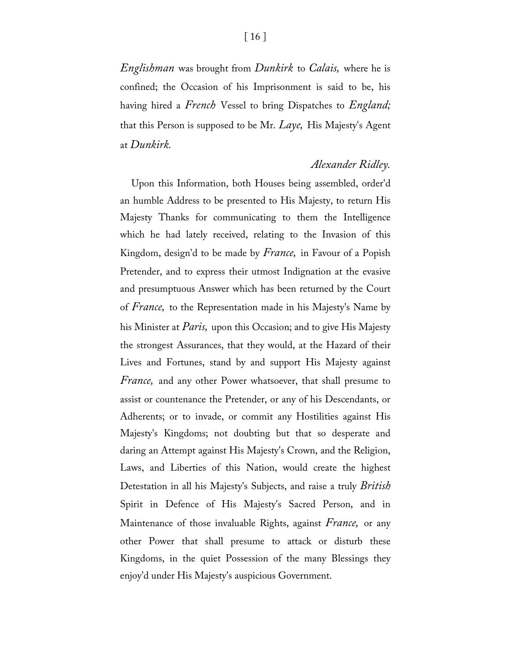*Englishman* was brought from *Dunkirk* to *Calais,* where he is confined; the Occasion of his Imprisonment is said to be, his having hired a *French* Vessel to bring Dispatches to *England;*  that this Person is supposed to be Mr. *Laye,* His Majesty's Agent at *Dunkirk.*

#### *Alexander Ridley.*

Upon this Information, both Houses being assembled, order'd an humble Address to be presented to His Majesty, to return His Majesty Thanks for communicating to them the Intelligence which he had lately received, relating to the Invasion of this Kingdom, design'd to be made by *France,* in Favour of a Popish Pretender, and to express their utmost Indignation at the evasive and presumptuous Answer which has been returned by the Court of *France,* to the Representation made in his Majesty's Name by his Minister at *Paris,* upon this Occasion; and to give His Majesty the strongest Assurances, that they would, at the Hazard of their Lives and Fortunes, stand by and support His Majesty against *France,* and any other Power whatsoever, that shall presume to assist or countenance the Pretender, or any of his Descendants, or Adherents; or to invade, or commit any Hostilities against His Majesty's Kingdoms; not doubting but that so desperate and daring an Attempt against His Majesty's Crown, and the Religion, Laws, and Liberties of this Nation, would create the highest Detestation in all his Majesty's Subjects, and raise a truly *British* Spirit in Defence of His Majesty's Sacred Person, and in Maintenance of those invaluable Rights, against *France,* or any other Power that shall presume to attack or disturb these Kingdoms, in the quiet Possession of the many Blessings they enjoy'd under His Majesty's auspicious Government.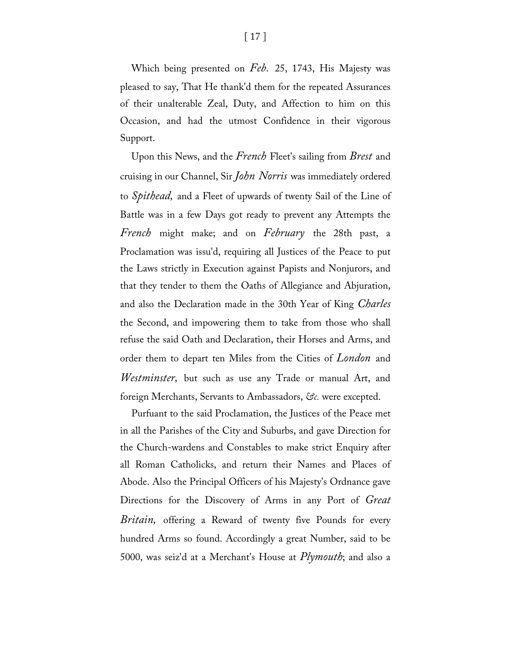Which being presented on *Feb.* 25, 1743, His Majesty was pleased to say, That He thank'd them for the repeated Assurances of their unalterable Zeal, Duty, and Affection to him on this Occasion, and had the utmost Confidence in their vigorous Support.

Upon this News, and the *French* Fleet's sailing from *Brest* and cruising in our Channel, Sir *John Norris* was immediately ordered to *Spithead,* and a Fleet of upwards of twenty Sail of the Line of Battle was in a few Days got ready to prevent any Attempts the *French* might make; and on *February* the 28th past, a Proclamation was issu'd, requiring all Justices of the Peace to put the Laws strictly in Execution against Papists and Nonjurors, and that they tender to them the Oaths of Allegiance and Abjuration, and also the Declaration made in the 30th Year of King *Charles*  the Second, and impowering them to take from those who shall refuse the said Oath and Declaration, their Horses and Arms, and order them to depart ten Miles from the Cities of *London* and *Westminster,* but such as use any Trade or manual Art, and foreign Merchants, Servants to Ambassadors, *&c.* were excepted.

Purfuant to the said Proclamation, the Justices of the Peace met in all the Parishes of the City and Suburbs, and gave Direction for the Church-wardens and Constables to make strict Enquiry after all Roman Catholicks, and return their Names and Places of Abode. Also the Principal Officers of his Majesty's Ordnance gave Directions for the Discovery of Arms in any Port of *Great Britain,* offering a Reward of twenty five Pounds for every hundred Arms so found. Accordingly a great Number, said to be 5000, was seiz'd at a Merchant's House at *Plymouth*; and also a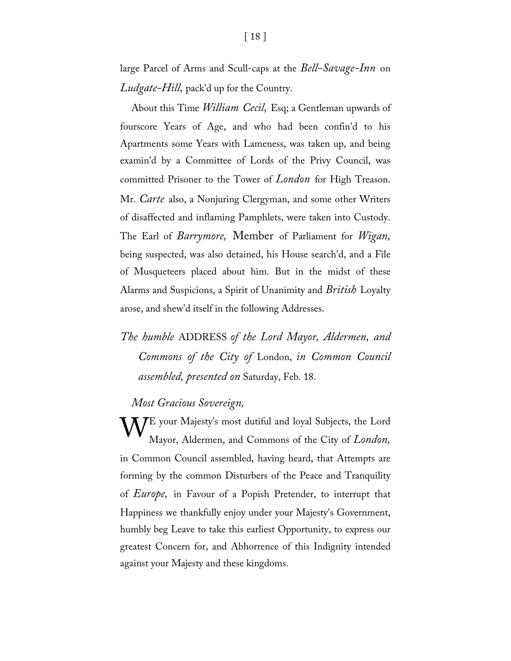large Parcel of Arms and Scull-caps at the *Bell-Savage-Inn* on *Ludgate-Hill,* pack'd up for the Country.

About this Time *William Cecil,* Esq; a Gentleman upwards of fourscore Years of Age, and who had been confin'd to his Apartments some Years with Lameness, was taken up, and being examin'd by a Committee of Lords of the Privy Council, was committed Prisoner to the Tower of *London* for High Treason. Mr. *Carte* also, a Nonjuring Clergyman, and some other Writers of disaffected and inflaming Pamphlets, were taken into Custody. The Earl of *Barrymore,* Member of Parliament for *Wigan,*  being suspected, was also detained, his House search'd, and a File of Musqueteers placed about him. But in the midst of these Alarms and Suspicions, a Spirit of Unanimity and *British* Loyalty arose, and shew'd itself in the following Addresses.

*The humble* ADDRESS *of the Lord Mayor, Aldermen, and Commons of the City of* London, *in Common Council assembled, presented on* Saturday, Feb. 18.

*Most Gracious Sovereign,*

**V**E your Majesty's most dutiful and loyal Subjects, the Lord Mayor, Aldermen, and Commons of the City of *London*, Mayor, Aldermen, and Commons of the City of *London,*  in Common Council assembled, having heard, that Attempts are forming by the common Disturbers of the Peace and Tranquility of *Europe,* in Favour of a Popish Pretender, to interrupt that Happiness we thankfully enjoy under your Majesty's Government, humbly beg Leave to take this earliest Opportunity, to express our greatest Concern for, and Abhorrence of this Indignity intended against your Majesty and these kingdoms.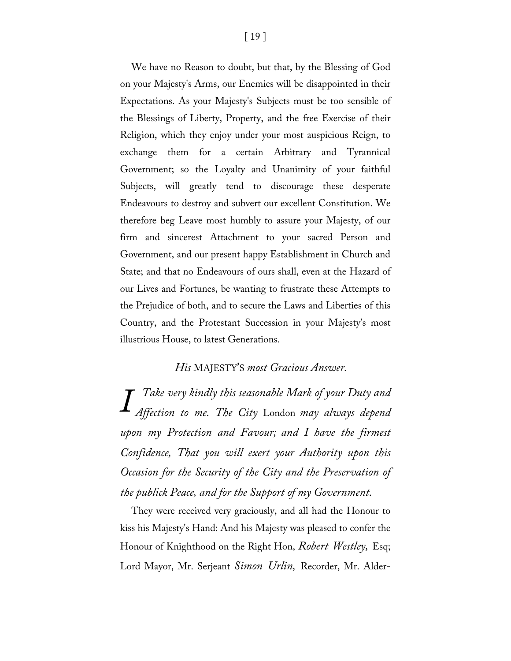We have no Reason to doubt, but that, by the Blessing of God on your Majesty's Arms, our Enemies will be disappointed in their Expectations. As your Majesty's Subjects must be too sensible of the Blessings of Liberty, Property, and the free Exercise of their Religion, which they enjoy under your most auspicious Reign, to exchange them for a certain Arbitrary and Tyrannical Government; so the Loyalty and Unanimity of your faithful Subjects, will greatly tend to discourage these desperate Endeavours to destroy and subvert our excellent Constitution. We therefore beg Leave most humbly to assure your Majesty, of our firm and sincerest Attachment to your sacred Person and Government, and our present happy Establishment in Church and State; and that no Endeavours of ours shall, even at the Hazard of our Lives and Fortunes, be wanting to frustrate these Attempts to the Prejudice of both, and to secure the Laws and Liberties of this Country, and the Protestant Succession in your Majesty's most illustrious House, to latest Generations.

#### *His* MAJESTY'S *most Gracious Answer.*

*Take very kindly this seasonable Mark of your Duty and Affection to me. The City* London *may always depend Iupon my Protection and Favour; and I have the firmest Confidence, That you will exert your Authority upon this Occasion for the Security of the City and the Preservation of the publick Peace, and for the Support of my Government.*

They were received very graciously, and all had the Honour to kiss his Majesty's Hand: And his Majesty was pleased to confer the Honour of Knighthood on the Right Hon, *Robert Westley,* Esq; Lord Mayor, Mr. Serjeant *Simon Urlin,* Recorder, Mr. Alder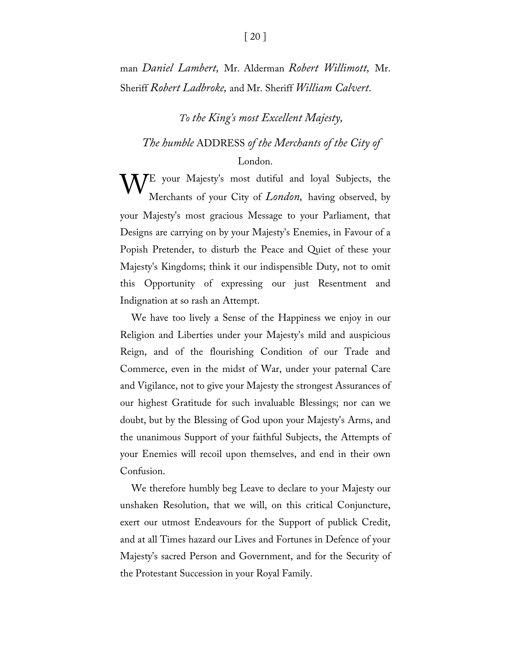man *Daniel Lambert,* Mr. Alderman *Robert Willimott,* Mr. Sheriff *Robert Ladbroke,* and Mr. Sheriff *William Calvert.*

#### *To the King's most Excellent Majesty,*

#### *The humble* ADDRESS *of the Merchants of the City of*

#### London.

**V**E your Majesty's most dutiful and loyal Subjects, the Merchants of your City of *London*, having observed, by Merchants of your City of *London,* having observed, by your Majesty's most gracious Message to your Parliament, that Designs are carrying on by your Majesty's Enemies, in Favour of a Popish Pretender, to disturb the Peace and Quiet of these your Majesty's Kingdoms; think it our indispensible Duty, not to omit this Opportunity of expressing our just Resentment and Indignation at so rash an Attempt.

We have too lively a Sense of the Happiness we enjoy in our Religion and Liberties under your Majesty's mild and auspicious Reign, and of the flourishing Condition of our Trade and Commerce, even in the midst of War, under your paternal Care and Vigilance, not to give your Majesty the strongest Assurances of our highest Gratitude for such invaluable Blessings; nor can we doubt, but by the Blessing of God upon your Majesty's Arms, and the unanimous Support of your faithful Subjects, the Attempts of your Enemies will recoil upon themselves, and end in their own Confusion.

We therefore humbly beg Leave to declare to your Majesty our unshaken Resolution, that we will, on this critical Conjuncture, exert our utmost Endeavours for the Support of publick Credit, and at all Times hazard our Lives and Fortunes in Defence of your Majesty's sacred Person and Government, and for the Security of the Protestant Succession in your Royal Family.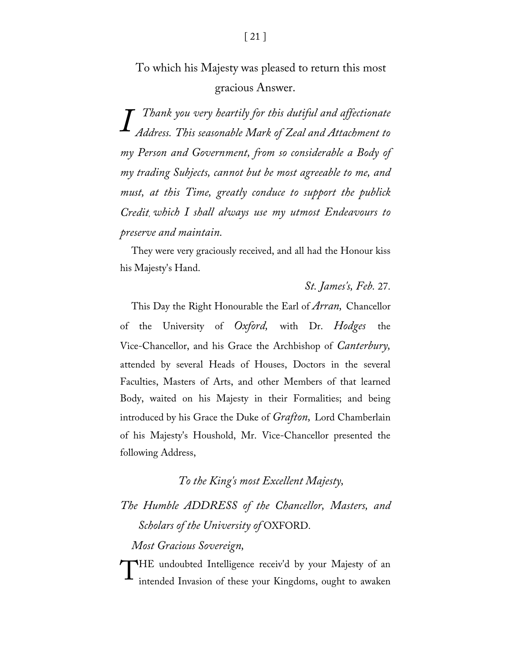*Thank you very heartily for this dutiful and affectionate Address. This seasonable Mark of Zeal and Attachment to I my Person and Government, from so considerable a Body of my trading Subjects, cannot but be most agreeable to me, and must, at this Time, greatly conduce to support the publick Credit, which I shall always use my utmost Endeavours to preserve and maintain.*

They were very graciously received, and all had the Honour kiss his Majesty's Hand.

*St. James's, Feb.* 27.

This Day the Right Honourable the Earl of *Arran,* Chancellor of the University of *Oxford,* with Dr. *Hodges* the Vice-Chancellor, and his Grace the Archbishop of *Canterbury,* attended by several Heads of Houses, Doctors in the several Faculties, Masters of Arts, and other Members of that learned Body, waited on his Majesty in their Formalities; and being introduced by his Grace the Duke of *Grafton,* Lord Chamberlain of his Majesty's Houshold, Mr. Vice-Chancellor presented the following Address,

#### *To the King's most Excellent Majesty,*

### *The Humble ADDRESS of the Chancellor, Masters, and Scholars of the University of* OXFORD.

*Most Gracious Sovereign,*

THE undoubted Intelligence receiv'd by your Majesty of an intended Invasion of these your Kingdoms, ought to awaken intended Invasion of these your Kingdoms, ought to awaken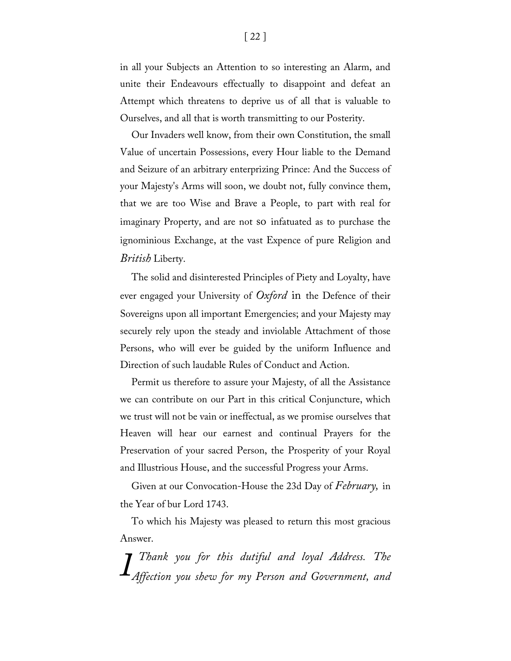in all your Subjects an Attention to so interesting an Alarm, and unite their Endeavours effectually to disappoint and defeat an Attempt which threatens to deprive us of all that is valuable to Ourselves, and all that is worth transmitting to our Posterity.

Our Invaders well know, from their own Constitution, the small Value of uncertain Possessions, every Hour liable to the Demand and Seizure of an arbitrary enterprizing Prince: And the Success of your Majesty's Arms will soon, we doubt not, fully convince them, that we are too Wise and Brave a People, to part with real for imaginary Property, and are not so infatuated as to purchase the ignominious Exchange, at the vast Expence of pure Religion and *British* Liberty.

The solid and disinterested Principles of Piety and Loyalty, have ever engaged your University of *Oxford* in the Defence of their Sovereigns upon all important Emergencies; and your Majesty may securely rely upon the steady and inviolable Attachment of those Persons, who will ever be guided by the uniform Influence and Direction of such laudable Rules of Conduct and Action.

Permit us therefore to assure your Majesty, of all the Assistance we can contribute on our Part in this critical Conjuncture, which we trust will not be vain or ineffectual, as we promise ourselves that Heaven will hear our earnest and continual Prayers for the Preservation of your sacred Person, the Prosperity of your Royal and Illustrious House, and the successful Progress your Arms.

Given at our Convocation-House the 23d Day of *February,* in the Year of bur Lord 1743.

To which his Majesty was pleased to return this most gracious Answer.

*Thank you for this dutiful and loyal Address. The IAffection you shew for my Person and Government, and*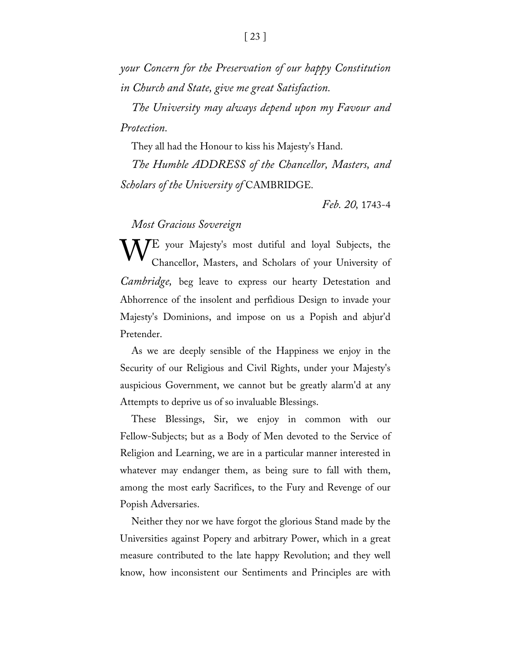*your Concern for the Preservation of our happy Constitution in Church and State, give me great Satisfaction.*

*The University may always depend upon my Favour and Protection.*

They all had the Honour to kiss his Majesty's Hand.

*The Humble ADDRESS of the Chancellor, Masters, and Scholars of the University of* CAMBRIDGE.

*Feb. 20,* 1743-4

*Most Gracious Sovereign*

WE your Majesty's most dutiful and loyal Subjects, the Chancellor, Masters, and Scholars of your University of Chancellor, Masters, and Scholars of your University of *Cambridge,* beg leave to express our hearty Detestation and Abhorrence of the insolent and perfidious Design to invade your Majesty's Dominions, and impose on us a Popish and abjur'd Pretender.

As we are deeply sensible of the Happiness we enjoy in the Security of our Religious and Civil Rights, under your Majesty's auspicious Government, we cannot but be greatly alarm'd at any Attempts to deprive us of so invaluable Blessings.

These Blessings, Sir, we enjoy in common with our Fellow-Subjects; but as a Body of Men devoted to the Service of Religion and Learning, we are in a particular manner interested in whatever may endanger them, as being sure to fall with them, among the most early Sacrifices, to the Fury and Revenge of our Popish Adversaries.

Neither they nor we have forgot the glorious Stand made by the Universities against Popery and arbitrary Power, which in a great measure contributed to the late happy Revolution; and they well know, how inconsistent our Sentiments and Principles are with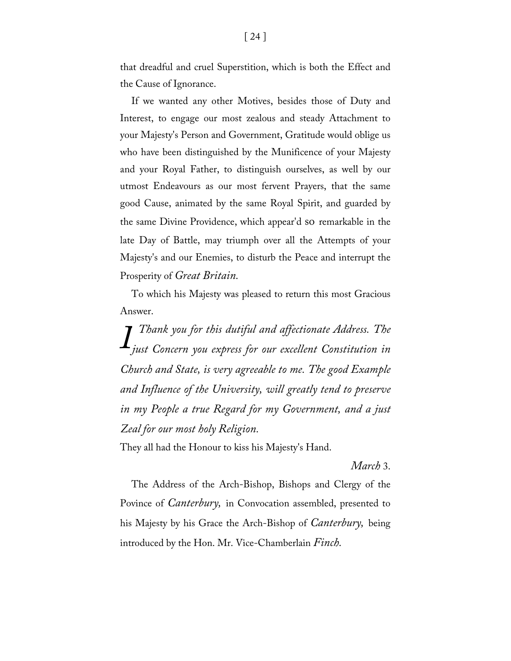that dreadful and cruel Superstition, which is both the Effect and the Cause of Ignorance.

If we wanted any other Motives, besides those of Duty and Interest, to engage our most zealous and steady Attachment to your Majesty's Person and Government, Gratitude would oblige us who have been distinguished by the Munificence of your Majesty and your Royal Father, to distinguish ourselves, as well by our utmost Endeavours as our most fervent Prayers, that the same good Cause, animated by the same Royal Spirit, and guarded by the same Divine Providence, which appear'd so remarkable in the late Day of Battle, may triumph over all the Attempts of your Majesty's and our Enemies, to disturb the Peace and interrupt the Prosperity of *Great Britain.*

To which his Majesty was pleased to return this most Gracious Answer.

*Thank you for this dutiful and affectionate Address. The just Concern you express for our excellent Constitution in IChurch and State, is very agreeable to me. The good Example and Influence of the University, will greatly tend to preserve in my People a true Regard for my Government, and a just Zeal for our most holy Religion.*

They all had the Honour to kiss his Majesty's Hand.

*March* 3.

The Address of the Arch-Bishop, Bishops and Clergy of the Povince of *Canterbury,* in Convocation assembled, presented to his Majesty by his Grace the Arch-Bishop of *Canterbury,* being introduced by the Hon. Mr. Vice-Chamberlain *Finch.*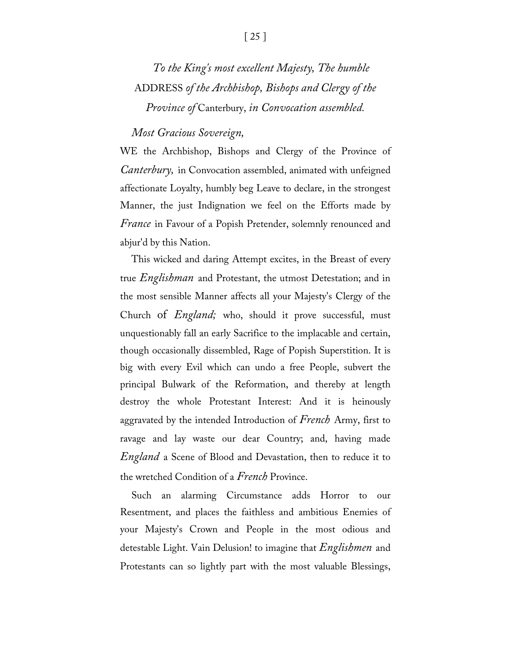## *To the King's most excellent Majesty, The humble*  ADDRESS *of the Archbishop, Bishops and Clergy of the Province of* Canterbury, *in Convocation assembled.*

#### *Most Gracious Sovereign,*

WE the Archbishop, Bishops and Clergy of the Province of *Canterbury,* in Convocation assembled, animated with unfeigned affectionate Loyalty, humbly beg Leave to declare, in the strongest Manner, the just Indignation we feel on the Efforts made by *France* in Favour of a Popish Pretender, solemnly renounced and abjur'd by this Nation.

This wicked and daring Attempt excites, in the Breast of every true *Englishman* and Protestant, the utmost Detestation; and in the most sensible Manner affects all your Majesty's Clergy of the Church of *England;* who, should it prove successful, must unquestionably fall an early Sacrifice to the implacable and certain, though occasionally dissembled, Rage of Popish Superstition. It is big with every Evil which can undo a free People, subvert the principal Bulwark of the Reformation, and thereby at length destroy the whole Protestant Interest: And it is heinously aggravated by the intended Introduction of *French* Army, first to ravage and lay waste our dear Country; and, having made *England* a Scene of Blood and Devastation, then to reduce it to the wretched Condition of a *French* Province.

Such an alarming Circumstance adds Horror to our Resentment, and places the faithless and ambitious Enemies of your Majesty's Crown and People in the most odious and detestable Light. Vain Delusion! to imagine that *Englishmen* and Protestants can so lightly part with the most valuable Blessings,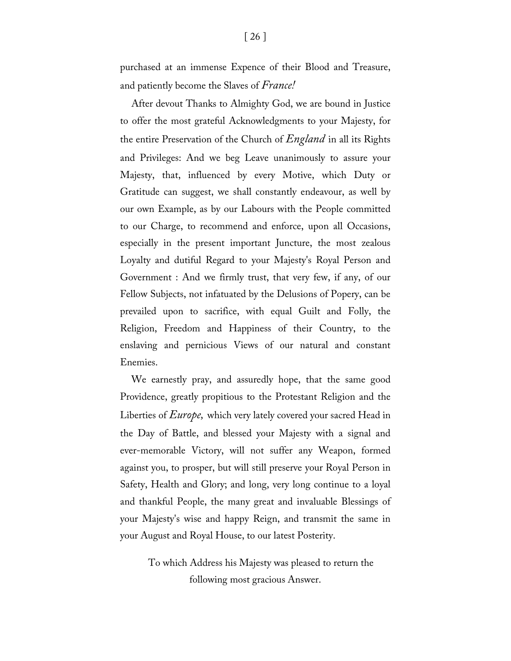purchased at an immense Expence of their Blood and Treasure, and patiently become the Slaves of *France!*

After devout Thanks to Almighty God, we are bound in Justice to offer the most grateful Acknowledgments to your Majesty, for the entire Preservation of the Church of *England* in all its Rights and Privileges: And we beg Leave unanimously to assure your Majesty, that, influenced by every Motive, which Duty or Gratitude can suggest, we shall constantly endeavour, as well by our own Example, as by our Labours with the People committed to our Charge, to recommend and enforce, upon all Occasions, especially in the present important Juncture, the most zealous Loyalty and dutiful Regard to your Majesty's Royal Person and Government : And we firmly trust, that very few, if any, of our Fellow Subjects, not infatuated by the Delusions of Popery, can be prevailed upon to sacrifice, with equal Guilt and Folly, the Religion, Freedom and Happiness of their Country, to the enslaving and pernicious Views of our natural and constant Enemies.

We earnestly pray, and assuredly hope, that the same good Providence, greatly propitious to the Protestant Religion and the Liberties of *Europe,* which very lately covered your sacred Head in the Day of Battle, and blessed your Majesty with a signal and ever-memorable Victory, will not suffer any Weapon, formed against you, to prosper, but will still preserve your Royal Person in Safety, Health and Glory; and long, very long continue to a loyal and thankful People, the many great and invaluable Blessings of your Majesty's wise and happy Reign, and transmit the same in your August and Royal House, to our latest Posterity.

> To which Address his Majesty was pleased to return the following most gracious Answer.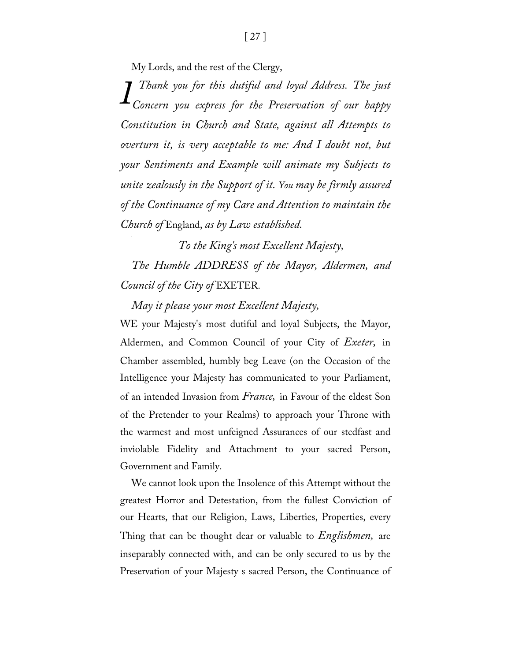My Lords, and the rest of the Clergy,

*Thank you for this dutiful and loyal Address. The just Concern you express for the Preservation of our happy IConstitution in Church and State, against all Attempts to overturn it, is very acceptable to me: And I doubt not, but your Sentiments and Example will animate my Subjects to unite zealously in the Support of it. You may be firmly assured of the Continuance of my Care and Attention to maintain the Church of* England, *as by Law established.*

*To the King's most Excellent Majesty, The Humble ADDRESS of the Mayor, Aldermen, and Council of the City of* EXETER.

*May it please your most Excellent Majesty,*

WE your Majesty's most dutiful and loyal Subjects, the Mayor, Aldermen, and Common Council of your City of *Exeter,* in Chamber assembled, humbly beg Leave (on the Occasion of the Intelligence your Majesty has communicated to your Parliament, of an intended Invasion from *France,* in Favour of the eldest Son of the Pretender to your Realms) to approach your Throne with the warmest and most unfeigned Assurances of our stcdfast and inviolable Fidelity and Attachment to your sacred Person, Government and Family.

We cannot look upon the Insolence of this Attempt without the greatest Horror and Detestation, from the fullest Conviction of our Hearts, that our Religion, Laws, Liberties, Properties, every Thing that can be thought dear or valuable to *Englishmen,* are inseparably connected with, and can be only secured to us by the Preservation of your Majesty s sacred Person, the Continuance of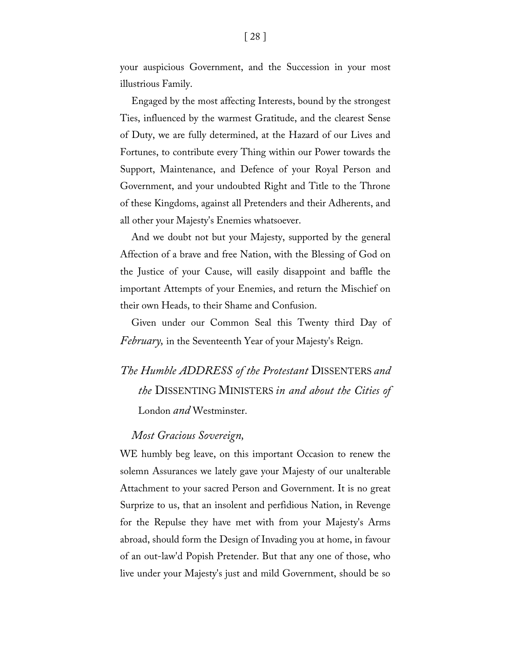your auspicious Government, and the Succession in your most illustrious Family.

Engaged by the most affecting Interests, bound by the strongest Ties, influenced by the warmest Gratitude, and the clearest Sense of Duty, we are fully determined, at the Hazard of our Lives and Fortunes, to contribute every Thing within our Power towards the Support, Maintenance, and Defence of your Royal Person and Government, and your undoubted Right and Title to the Throne of these Kingdoms, against all Pretenders and their Adherents, and all other your Majesty's Enemies whatsoever.

And we doubt not but your Majesty, supported by the general Affection of a brave and free Nation, with the Blessing of God on the Justice of your Cause, will easily disappoint and baffle the important Attempts of your Enemies, and return the Mischief on their own Heads, to their Shame and Confusion.

Given under our Common Seal this Twenty third Day of *February,* in the Seventeenth Year of your Majesty's Reign.

## *The Humble ADDRESS of the Protestant* DISSENTERS *and the* DISSENTING MINISTERS *in and about the Cities of*  London *and* Westminster.

#### *Most Gracious Sovereign,*

WE humbly beg leave, on this important Occasion to renew the solemn Assurances we lately gave your Majesty of our unalterable Attachment to your sacred Person and Government. It is no great Surprize to us, that an insolent and perfidious Nation, in Revenge for the Repulse they have met with from your Majesty's Arms abroad, should form the Design of Invading you at home, in favour of an out-law'd Popish Pretender. But that any one of those, who live under your Majesty's just and mild Government, should be so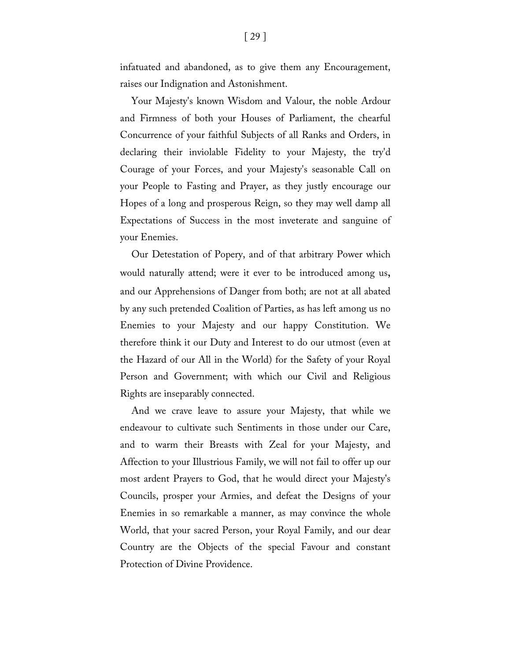infatuated and abandoned, as to give them any Encouragement, raises our Indignation and Astonishment.

Your Majesty's known Wisdom and Valour, the noble Ardour and Firmness of both your Houses of Parliament, the chearful Concurrence of your faithful Subjects of all Ranks and Orders, in declaring their inviolable Fidelity to your Majesty, the try'd Courage of your Forces, and your Majesty's seasonable Call on your People to Fasting and Prayer, as they justly encourage our Hopes of a long and prosperous Reign, so they may well damp all Expectations of Success in the most inveterate and sanguine of your Enemies.

Our Detestation of Popery, and of that arbitrary Power which would naturally attend; were it ever to be introduced among us, and our Apprehensions of Danger from both; are not at all abated by any such pretended Coalition of Parties, as has left among us no Enemies to your Majesty and our happy Constitution. We therefore think it our Duty and Interest to do our utmost (even at the Hazard of our All in the World) for the Safety of your Royal Person and Government; with which our Civil and Religious Rights are inseparably connected.

And we crave leave to assure your Majesty, that while we endeavour to cultivate such Sentiments in those under our Care, and to warm their Breasts with Zeal for your Majesty, and Affection to your Illustrious Family, we will not fail to offer up our most ardent Prayers to God, that he would direct your Majesty's Councils, prosper your Armies, and defeat the Designs of your Enemies in so remarkable a manner, as may convince the whole World, that your sacred Person, your Royal Family, and our dear Country are the Objects of the special Favour and constant Protection of Divine Providence.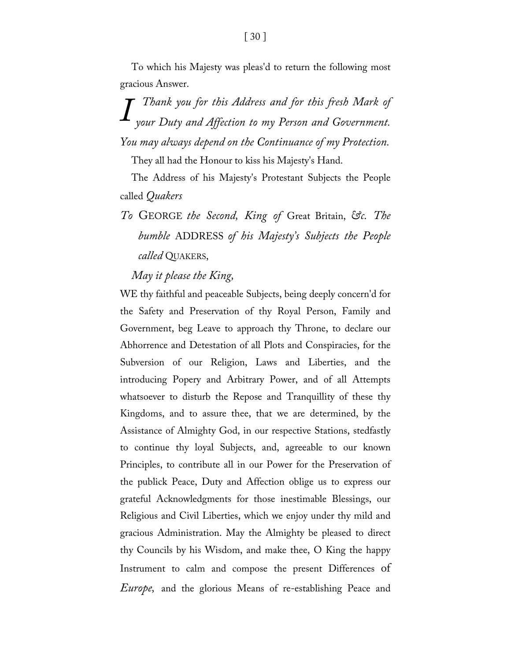To which his Majesty was pleas'd to return the following most gracious Answer.

*Thank you for this Address and for this fresh Mark of your Duty and Affection to my Person and Government. IYou may always depend on the Continuance of my Protection.*

They all had the Honour to kiss his Majesty's Hand.

The Address of his Majesty's Protestant Subjects the People called *Quakers* 

*To* GEORGE *the Second, King of* Great Britain, *&c. The bumble* ADDRESS *of his Majesty's Subjects the People called* QUAKERS,

#### *May it please the King,*

WE thy faithful and peaceable Subjects, being deeply concern'd for the Safety and Preservation of thy Royal Person, Family and Government, beg Leave to approach thy Throne, to declare our Abhorrence and Detestation of all Plots and Conspiracies, for the Subversion of our Religion, Laws and Liberties, and the introducing Popery and Arbitrary Power, and of all Attempts whatsoever to disturb the Repose and Tranquillity of these thy Kingdoms, and to assure thee, that we are determined, by the Assistance of Almighty God, in our respective Stations, stedfastly to continue thy loyal Subjects, and, agreeable to our known Principles, to contribute all in our Power for the Preservation of the publick Peace, Duty and Affection oblige us to express our grateful Acknowledgments for those inestimable Blessings, our Religious and Civil Liberties, which we enjoy under thy mild and gracious Administration. May the Almighty be pleased to direct thy Councils by his Wisdom, and make thee, O King the happy Instrument to calm and compose the present Differences of *Europe,* and the glorious Means of re-establishing Peace and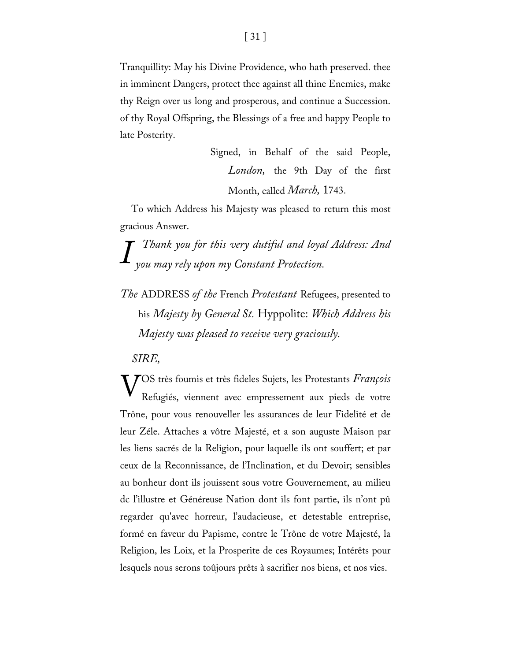Tranquillity: May his Divine Providence, who hath preserved. thee in imminent Dangers, protect thee against all thine Enemies, make thy Reign over us long and prosperous, and continue a Succession. of thy Royal Offspring, the Blessings of a free and happy People to late Posterity.

> Signed, in Behalf of the said People, *London,* the 9th Day of the first Month, called *March,* 1743.

To which Address his Majesty was pleased to return this most gracious Answer.

*Thank you for this very dutiful and loyal Address: And you may rely upon my Constant Protection. I*

*The* ADDRESS *of the* French *Protestant* Refugees, presented to his *Majesty by General St.* Hyppolite: *Which Address his Majesty was pleased to receive very graciously.*

*SIRE,*

OS très foumis et très fideles Sujets, les Protestants *François*  VRefugiés, viennent avec empressement aux pieds de votre Trône, pour vous renouveller les assurances de leur Fidelité et de leur Zéle. Attaches a vôtre Majesté, et a son auguste Maison par les liens sacrés de la Religion, pour laquelle ils ont souffert; et par ceux de la Reconnissance, de l'Inclination, et du Devoir; sensibles au bonheur dont ils jouissent sous votre Gouvernement, au milieu dc l'illustre et Généreuse Nation dont ils font partie, ils n'ont pû regarder qu'avec horreur, l'audacieuse, et detestable entreprise, formé en faveur du Papisme, contre le Trône de votre Majesté, la Religion, les Loix, et la Prosperite de ces Royaumes; Intérêts pour lesquels nous serons toûjours prêts à sacrifier nos biens, et nos vies.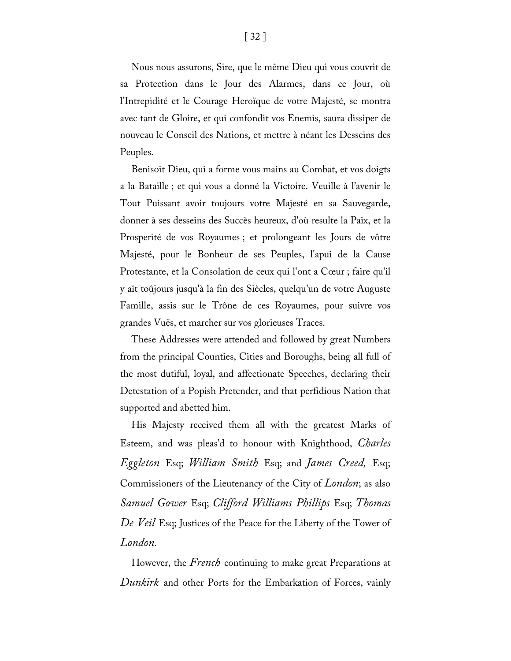Nous nous assurons, Sire, que le même Dieu qui vous couvrit de sa Protection dans le Jour des Alarmes, dans ce Jour, où l'Intrepidité et le Courage Heroïque de votre Majesté, se montra avec tant de Gloire, et qui confondit vos Enemis, saura dissiper de nouveau le Conseil des Nations, et mettre à néant les Desseins des Peuples.

Benisoit Dieu, qui a forme vous mains au Combat, et vos doigts a la Bataille ; et qui vous a donné la Victoire. Veuille à l'avenir le Tout Puissant avoir toujours votre Majesté en sa Sauvegarde, donner à ses desseins des Succès heureux, d'où resulte la Paix, et la Prosperité de vos Royaumes ; et prolongeant les Jours de vôtre Majesté, pour le Bonheur de ses Peuples, l'apui de la Cause Protestante, et la Consolation de ceux qui l'ont a Cœur ; faire qu'il y aît toûjours jusqu'à la fin des Siècles, quelqu'un de votre Auguste Famille, assis sur le Trône de ces Royaumes, pour suivre vos grandes Vuës, et marcher sur vos glorieuses Traces.

These Addresses were attended and followed by great Numbers from the principal Counties, Cities and Boroughs, being all full of the most dutiful, loyal, and affectionate Speeches, declaring their Detestation of a Popish Pretender, and that perfidious Nation that supported and abetted him.

His Majesty received them all with the greatest Marks of Esteem, and was pleas'd to honour with Knighthood, *Charles Eggleton* Esq; *William Smith* Esq; and *James Creed,* Esq; Commissioners of the Lieutenancy of the City of *London*; as also *Samuel Gower* Esq; *Clifford Williams Phillips* Esq; *Thomas De Veil* Esq; Justices of the Peace for the Liberty of the Tower of *London.*

However, the *French* continuing to make great Preparations at *Dunkirk* and other Ports for the Embarkation of Forces, vainly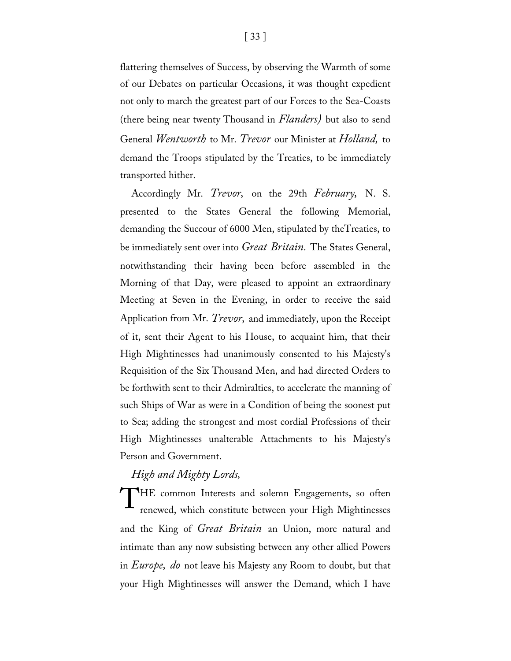flattering themselves of Success, by observing the Warmth of some of our Debates on particular Occasions, it was thought expedient not only to march the greatest part of our Forces to the Sea-Coasts (there being near twenty Thousand in *Flanders)* but also to send General *Wentworth* to Mr. *Trevor* our Minister at *Holland,* to demand the Troops stipulated by the Treaties, to be immediately transported hither.

Accordingly Mr. *Trevor,* on the 29th *February,* N. S. presented to the States General the following Memorial, demanding the Succour of 6000 Men, stipulated by theTreaties, to be immediately sent over into *Great Britain.* The States General, notwithstanding their having been before assembled in the Morning of that Day, were pleased to appoint an extraordinary Meeting at Seven in the Evening, in order to receive the said Application from Mr. *Trevor,* and immediately, upon the Receipt of it, sent their Agent to his House, to acquaint him, that their High Mightinesses had unanimously consented to his Majesty's Requisition of the Six Thousand Men, and had directed Orders to be forthwith sent to their Admiralties, to accelerate the manning of such Ships of War as were in a Condition of being the soonest put to Sea; adding the strongest and most cordial Professions of their High Mightinesses unalterable Attachments to his Majesty's Person and Government.

#### *High and Mighty Lords,*

THE common Interests and solemn Engagements, so often renewed, which constitute between your High Mightinesses renewed, which constitute between your High Mightinesses and the King of *Great Britain* an Union, more natural and intimate than any now subsisting between any other allied Powers in *Europe, do* not leave his Majesty any Room to doubt, but that your High Mightinesses will answer the Demand, which I have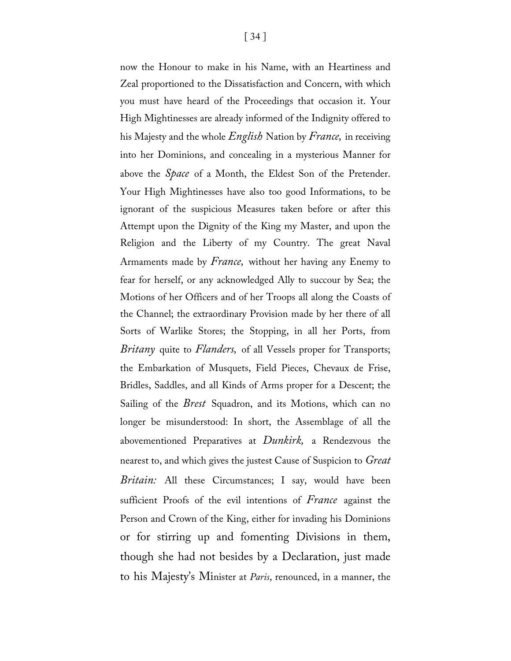now the Honour to make in his Name, with an Heartiness and Zeal proportioned to the Dissatisfaction and Concern, with which you must have heard of the Proceedings that occasion it. Your High Mightinesses are already informed of the Indignity offered to his Majesty and the whole *English* Nation by *France,* in receiving into her Dominions, and concealing in a mysterious Manner for above the *Space* of a Month, the Eldest Son of the Pretender. Your High Mightinesses have also too good Informations, to be ignorant of the suspicious Measures taken before or after this Attempt upon the Dignity of the King my Master, and upon the Religion and the Liberty of my Country. The great Naval Armaments made by *France,* without her having any Enemy to fear for herself, or any acknowledged Ally to succour by Sea; the Motions of her Officers and of her Troops all along the Coasts of the Channel; the extraordinary Provision made by her there of all Sorts of Warlike Stores; the Stopping, in all her Ports, from *Britany* quite to *Flanders,* of all Vessels proper for Transports; the Embarkation of Musquets, Field Pieces, Chevaux de Frise, Bridles, Saddles, and all Kinds of Arms proper for a Descent; the Sailing of the *Brest* Squadron, and its Motions, which can no longer be misunderstood: In short, the Assemblage of all the abovementioned Preparatives at *Dunkirk,* a Rendezvous the nearest to, and which gives the justest Cause of Suspicion to *Great Britain:* All these Circumstances; I say, would have been sufficient Proofs of the evil intentions of *France* against the Person and Crown of the King, either for invading his Dominions or for stirring up and fomenting Divisions in them, though she had not besides by a Declaration, just made to his Majesty's Minister at *Paris*, renounced, in a manner, the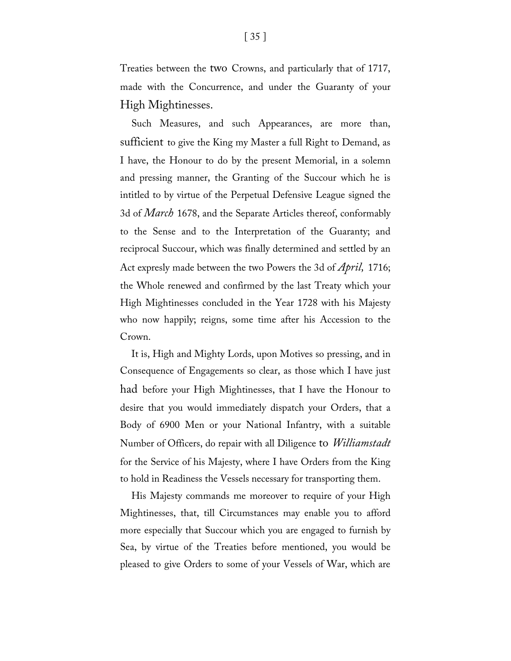Treaties between the two Crowns, and particularly that of 1717, made with the Concurrence, and under the Guaranty of your High Mightinesses.

Such Measures, and such Appearances, are more than, sufficient to give the King my Master a full Right to Demand, as I have, the Honour to do by the present Memorial, in a solemn and pressing manner, the Granting of the Succour which he is intitled to by virtue of the Perpetual Defensive League signed the 3d of *March* 1678, and the Separate Articles thereof, conformably to the Sense and to the Interpretation of the Guaranty; and reciprocal Succour, which was finally determined and settled by an Act expresly made between the two Powers the 3d of *April,* 1716; the Whole renewed and confirmed by the last Treaty which your High Mightinesses concluded in the Year 1728 with his Majesty who now happily; reigns, some time after his Accession to the Crown.

It is, High and Mighty Lords, upon Motives so pressing, and in Consequence of Engagements so clear, as those which I have just had before your High Mightinesses, that I have the Honour to desire that you would immediately dispatch your Orders, that a Body of 6900 Men or your National Infantry, with a suitable Number of Officers, do repair with all Diligence to *Williamstadt*  for the Service of his Majesty, where I have Orders from the King to hold in Readiness the Vessels necessary for transporting them.

His Majesty commands me moreover to require of your High Mightinesses, that, till Circumstances may enable you to afford more especially that Succour which you are engaged to furnish by Sea, by virtue of the Treaties before mentioned, you would be pleased to give Orders to some of your Vessels of War, which are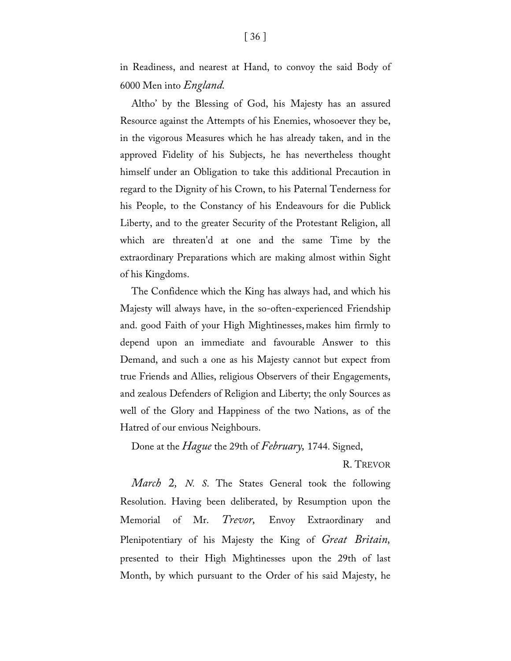in Readiness, and nearest at Hand, to convoy the said Body of 6000 Men into *England.*

Altho' by the Blessing of God, his Majesty has an assured Resource against the Attempts of his Enemies, whosoever they be, in the vigorous Measures which he has already taken, and in the approved Fidelity of his Subjects, he has nevertheless thought himself under an Obligation to take this additional Precaution in regard to the Dignity of his Crown, to his Paternal Tenderness for his People, to the Constancy of his Endeavours for die Publick Liberty, and to the greater Security of the Protestant Religion, all which are threaten'd at one and the same Time by the extraordinary Preparations which are making almost within Sight of his Kingdoms.

The Confidence which the King has always had, and which his Majesty will always have, in the so-often-experienced Friendship and. good Faith of your High Mightinesses, makes him firmly to depend upon an immediate and favourable Answer to this Demand, and such a one as his Majesty cannot but expect from true Friends and Allies, religious Observers of their Engagements, and zealous Defenders of Religion and Liberty; the only Sources as well of the Glory and Happiness of the two Nations, as of the Hatred of our envious Neighbours.

Done at the *Hague* the 29th of *February,* 1744. Signed,

R. TREVOR

*March* 2*, N. S*. The States General took the following Resolution. Having been deliberated, by Resumption upon the Memorial of Mr. *Trevor,* Envoy Extraordinary and Plenipotentiary of his Majesty the King of *Great Britain,*  presented to their High Mightinesses upon the 29th of last Month, by which pursuant to the Order of his said Majesty, he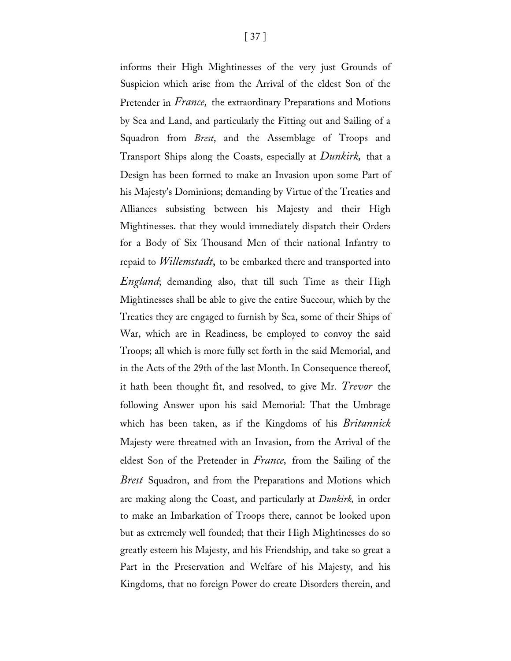informs their High Mightinesses of the very just Grounds of Suspicion which arise from the Arrival of the eldest Son of the Pretender in *France,* the extraordinary Preparations and Motions by Sea and Land, and particularly the Fitting out and Sailing of a Squadron from *Brest*, and the Assemblage of Troops and Transport Ships along the Coasts, especially at *Dunkirk,* that a Design has been formed to make an Invasion upon some Part of his Majesty's Dominions; demanding by Virtue of the Treaties and Alliances subsisting between his Majesty and their High Mightinesses. that they would immediately dispatch their Orders for a Body of Six Thousand Men of their national Infantry to repaid to *Willemstadt*, to be embarked there and transported into *England*; demanding also, that till such Time as their High Mightinesses shall be able to give the entire Succour, which by the Treaties they are engaged to furnish by Sea, some of their Ships of War, which are in Readiness, be employed to convoy the said Troops; all which is more fully set forth in the said Memorial, and in the Acts of the 29th of the last Month. In Consequence thereof, it hath been thought fit, and resolved, to give Mr. *Trevor* the following Answer upon his said Memorial: That the Umbrage which has been taken, as if the Kingdoms of his *Britannick* Majesty were threatned with an Invasion, from the Arrival of the eldest Son of the Pretender in *France,* from the Sailing of the *Brest* Squadron, and from the Preparations and Motions which are making along the Coast, and particularly at *Dunkirk,* in order to make an Imbarkation of Troops there, cannot be looked upon but as extremely well founded; that their High Mightinesses do so greatly esteem his Majesty, and his Friendship, and take so great a Part in the Preservation and Welfare of his Majesty, and his Kingdoms, that no foreign Power do create Disorders therein, and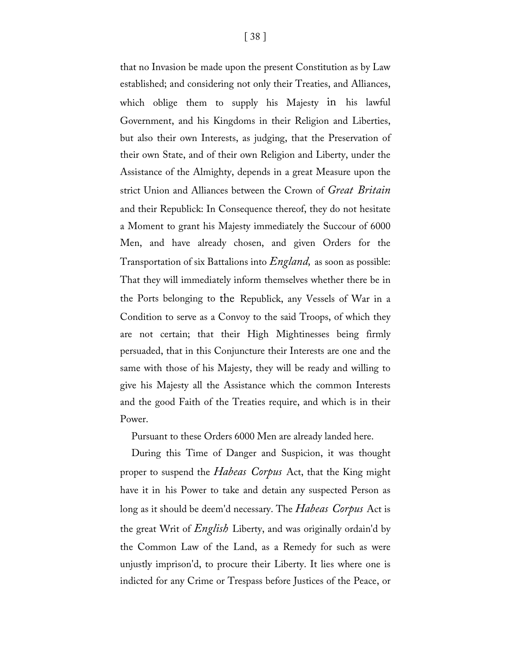[ 38 ] that no Invasion be made upon the present Constitution as by Law

established; and considering not only their Treaties, and Alliances, which oblige them to supply his Majesty in his lawful Government, and his Kingdoms in their Religion and Liberties, but also their own Interests, as judging, that the Preservation of their own State, and of their own Religion and Liberty, under the Assistance of the Almighty, depends in a great Measure upon the strict Union and Alliances between the Crown of *Great Britain*  and their Republick: In Consequence thereof, they do not hesitate a Moment to grant his Majesty immediately the Succour of 6000 Men, and have already chosen, and given Orders for the Transportation of six Battalions into *England,* as soon as possible: That they will immediately inform themselves whether there be in the Ports belonging to the Republick, any Vessels of War in a Condition to serve as a Convoy to the said Troops, of which they are not certain; that their High Mightinesses being firmly persuaded, that in this Conjuncture their Interests are one and the same with those of his Majesty, they will be ready and willing to give his Majesty all the Assistance which the common Interests and the good Faith of the Treaties require, and which is in their Power.

Pursuant to these Orders 6000 Men are already landed here.

During this Time of Danger and Suspicion, it was thought proper to suspend the *Habeas Corpus* Act, that the King might have it in his Power to take and detain any suspected Person as long as it should be deem'd necessary. The *Habeas Corpus* Act is the great Writ of *English* Liberty, and was originally ordain'd by the Common Law of the Land, as a Remedy for such as were unjustly imprison'd, to procure their Liberty. It lies where one is indicted for any Crime or Trespass before Justices of the Peace, or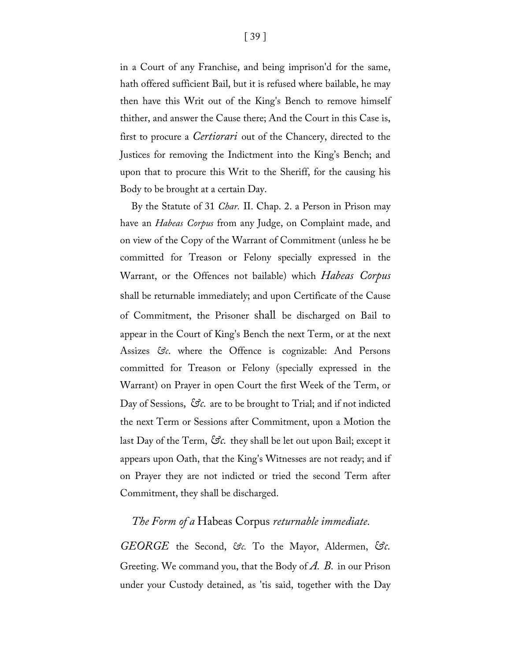in a Court of any Franchise, and being imprison'd for the same, hath offered sufficient Bail, but it is refused where bailable, he may then have this Writ out of the King's Bench to remove himself thither, and answer the Cause there; And the Court in this Case is, first to procure a *Certiorari* out of the Chancery, directed to the Justices for removing the Indictment into the King's Bench; and upon that to procure this Writ to the Sheriff, for the causing his Body to be brought at a certain Day.

By the Statute of 31 *Char.* II. Chap. 2. a Person in Prison may have an *Habeas Corpus* from any Judge, on Complaint made, and on view of the Copy of the Warrant of Commitment (unless he be committed for Treason or Felony specially expressed in the Warrant, or the Offences not bailable) which *Habeas Corpus*  shall be returnable immediately; and upon Certificate of the Cause of Commitment, the Prisoner shall be discharged on Bail to appear in the Court of King's Bench the next Term, or at the next Assizes &c. where the Offence is cognizable: And Persons committed for Treason or Felony (specially expressed in the Warrant) on Prayer in open Court the first Week of the Term, or Day of Sessions,  $\Im \mathcal{C}$ , are to be brought to Trial; and if not indicted the next Term or Sessions after Commitment, upon a Motion the last Day of the Term,  $\Im c$ . they shall be let out upon Bail; except it appears upon Oath, that the King's Witnesses are not ready; and if on Prayer they are not indicted or tried the second Term after Commitment, they shall be discharged.

#### *The Form of a* Habeas Corpus *returnable immediate.*

*GEORGE* the Second, *&c.* To the Mayor, Aldermen, *&c.*  Greeting. We command you, that the Body of *A. B.* in our Prison under your Custody detained, as 'tis said, together with the Day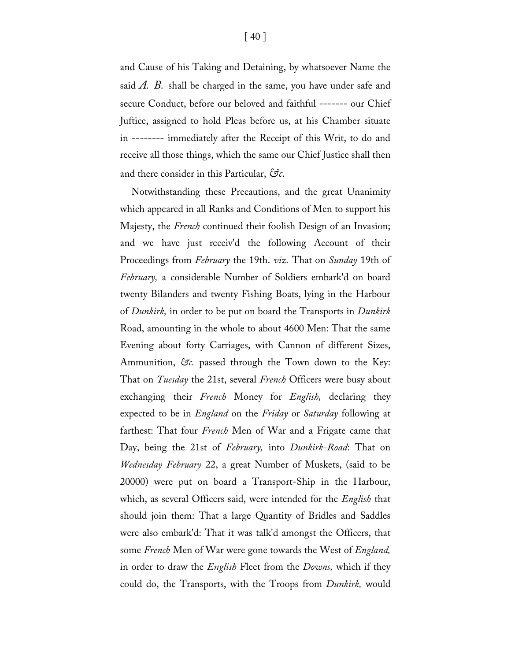and Cause of his Taking and Detaining, by whatsoever Name the said *A. B.* shall be charged in the same, you have under safe and secure Conduct, before our beloved and faithful ------- our Chief Juftice, assigned to hold Pleas before us, at his Chamber situate in -------- immediately after the Receipt of this Writ, to do and receive all those things, which the same our Chief Justice shall then and there consider in this Particular, *&c.*

Notwithstanding these Precautions, and the great Unanimity which appeared in all Ranks and Conditions of Men to support his Majesty, the *French* continued their foolish Design of an Invasion; and we have just receiv'd the following Account of their Proceedings from *February* the 19th. *viz.* That on *Sunday* 19th of *February,* a considerable Number of Soldiers embark'd on board twenty Bilanders and twenty Fishing Boats, lying in the Harbour of *Dunkirk,* in order to be put on board the Transports in *Dunkirk*  Road, amounting in the whole to about 4600 Men: That the same Evening about forty Carriages, with Cannon of different Sizes, Ammunition, *&c.* passed through the Town down to the Key: That on *Tuesday* the 21st, several *French* Officers were busy about exchanging their *French* Money for *English,* declaring they expected to be in *England* on the *Friday* or *Saturday* following at farthest: That four *French* Men of War and a Frigate came that Day, being the 21st of *February,* into *Dunkirk-Road*: That on *Wednesday February* 22, a great Number of Muskets, (said to be 20000) were put on board a Transport-Ship in the Harbour, which, as several Officers said, were intended for the *English* that should join them: That a large Quantity of Bridles and Saddles were also embark'd: That it was talk'd amongst the Officers, that some *French* Men of War were gone towards the West of *England,*  in order to draw the *English* Fleet from the *Downs,* which if they could do, the Transports, with the Troops from *Dunkirk,* would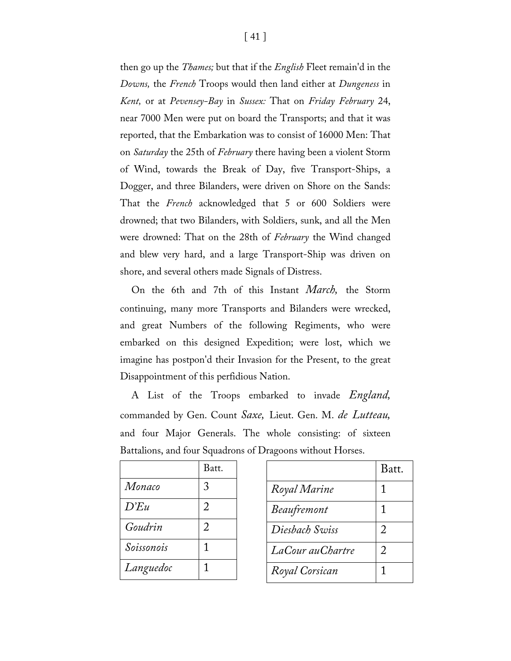then go up the *Thames;* but that if the *English* Fleet remain'd in the *Downs,* the *French* Troops would then land either at *Dungeness* in *Kent,* or at *Pevensey-Bay* in *Sussex:* That on *Friday February* 24, near 7000 Men were put on board the Transports; and that it was reported, that the Embarkation was to consist of 16000 Men: That on *Saturday* the 25th of *February* there having been a violent Storm of Wind, towards the Break of Day, five Transport-Ships, a Dogger, and three Bilanders, were driven on Shore on the Sands: That the *French* acknowledged that 5 or 600 Soldiers were drowned; that two Bilanders, with Soldiers, sunk, and all the Men were drowned: That on the 28th of *February* the Wind changed and blew very hard, and a large Transport-Ship was driven on shore, and several others made Signals of Distress.

On the 6th and 7th of this Instant *March,* the Storm continuing, many more Transports and Bilanders were wrecked, and great Numbers of the following Regiments, who were embarked on this designed Expedition; were lost, which we imagine has postpon'd their Invasion for the Present, to the great Disappointment of this perfidious Nation.

A List of the Troops embarked to invade *England,* commanded by Gen. Count *Saxe,* Lieut. Gen. M. *de Lutteau,*  and four Major Generals. The whole consisting: of sixteen Battalions, and four Squadrons of Dragoons without Horses.

|            | Batt.          |
|------------|----------------|
| Monaco     | 3              |
| D'Eu       | $\overline{2}$ |
| Goudrin    | 2              |
| Soissonois | 1              |
| Languedoc  | 1              |

|                    | Batt. |
|--------------------|-------|
| Royal Marine       | 1     |
| <b>Beaufremont</b> | 1     |
| Diesbach Swiss     | 2     |
| LaCour auChartre   | 2     |
| Royal Corsican     | 1     |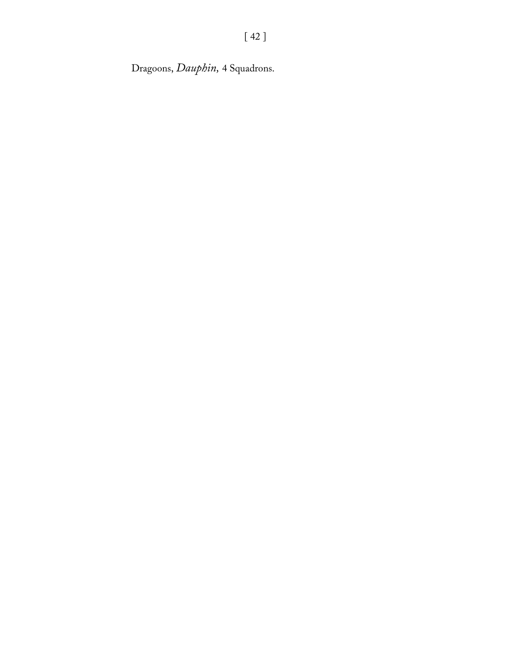Dragoons, *Dauphin,* 4 Squadrons.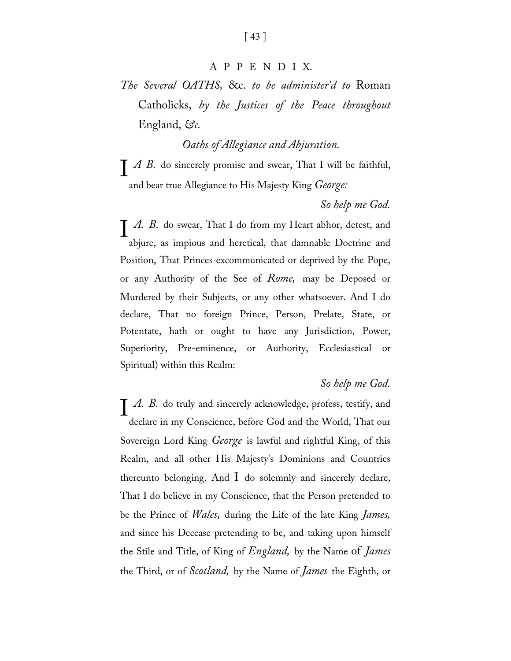#### APPEN D I X.

*The Several OATHS,* &c. *to be administer'd to* Roman Catholicks, *by the Justices of the Peace throughout*  England, *&c.*

*Oaths of Allegiance and Abjuration.*

*A B.* do sincerely promise and swear, That I will be faithful,<br>and bear true Allegiance to His Majesty King *George*: and bear true Allegiance to His Majesty King *George:*

#### *So help me God.*

*A. B.* do swear, That I do from my Heart abhor, detest, and abiure. as impious and heretical. that damnable Doctrine and abjure, as impious and heretical, that damnable Doctrine and Position, That Princes excommunicated or deprived by the Pope, or any Authority of the See of *Rome,* may be Deposed or Murdered by their Subjects, or any other whatsoever. And I do declare, That no foreign Prince, Person, Prelate, State, or Potentate, hath or ought to have any Jurisdiction, Power, Superiority, Pre-eminence, or Authority, Ecclesiastical or Spiritual) within this Realm:

#### *So help me God.*

*A. B.* do truly and sincerely acknowledge, profess, testify, and declare in my Conscience. before God and the World. That our declare in my Conscience, before God and the World, That our Sovereign Lord King *George* is lawful and rightful King, of this Realm, and all other His Majesty's Dominions and Countries thereunto belonging. And I do solemnly and sincerely declare, That I do believe in my Conscience, that the Person pretended to be the Prince of *Wales,* during the Life of the late King *James,*  and since his Decease pretending to be, and taking upon himself the Stile and Title, of King of *England,* by the Name of *James*  the Third, or of *Scotland,* by the Name of *James* the Eighth, or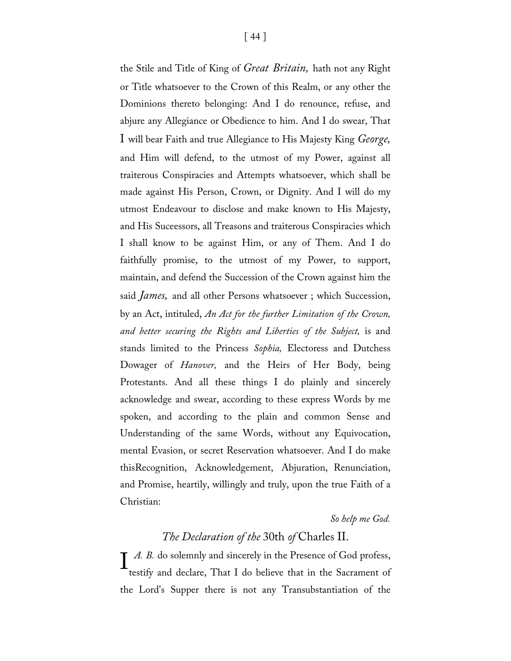the Stile and Title of King of *Great Britain,* hath not any Right or Title whatsoever to the Crown of this Realm, or any other the Dominions thereto belonging: And I do renounce, refuse, and abjure any Allegiance or Obedience to him. And I do swear, That I will bear Faith and true Allegiance to His Majesty King *George,*  and Him will defend, to the utmost of my Power, against all traiterous Conspiracies and Attempts whatsoever, which shall be made against His Person, Crown, or Dignity. And I will do my utmost Endeavour to disclose and make known to His Majesty, and His Suceessors, all Treasons and traiterous Conspiracies which I shall know to be against Him, or any of Them. And I do faithfully promise, to the utmost of my Power, to support, maintain, and defend the Succession of the Crown against him the said *James,* and all other Persons whatsoever ; which Succession, by an Act, intituled, *An Act for the further Limitation of the Crown, and better securing the Rights and Liberties of the Subject,* is and stands limited to the Princess *Sophia,* Electoress and Dutchess Dowager of *Hanover,* and the Heirs of Her Body, being Protestants. And all these things I do plainly and sincerely acknowledge and swear, according to these express Words by me spoken, and according to the plain and common Sense and Understanding of the same Words, without any Equivocation, mental Evasion, or secret Reservation whatsoever. And I do make thisRecognition, Acknowledgement, Abjuration, Renunciation, and Promise, heartily, willingly and truly, upon the true Faith of a Christian:

#### *So help me God.*

#### *The Declaration of the* 30th *of* Charles II.

*A. B.* do solemnly and sincerely in the Presence of God profess, testify and declare, That I do believe that in the Sacrament of testify and declare, That I do believe that in the Sacrament of the Lord's Supper there is not any Transubstantiation of the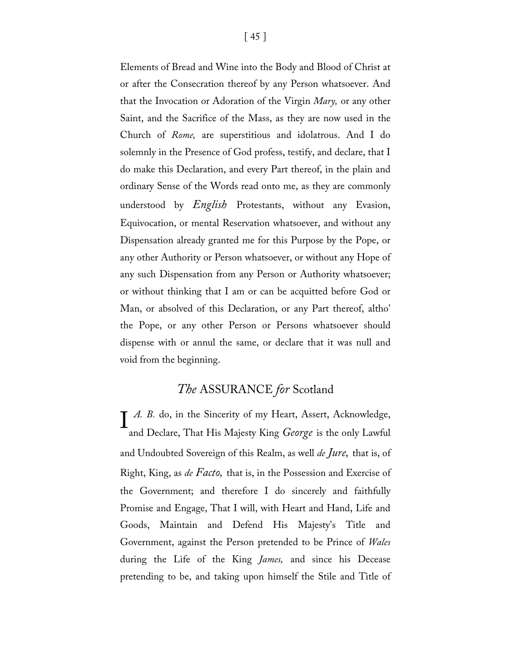Elements of Bread and Wine into the Body and Blood of Christ at or after the Consecration thereof by any Person whatsoever. And that the Invocation or Adoration of the Virgin *Mary,* or any other Saint, and the Sacrifice of the Mass, as they are now used in the Church of *Rome,* are superstitious and idolatrous. And I do solemnly in the Presence of God profess, testify, and declare, that I do make this Declaration, and every Part thereof, in the plain and ordinary Sense of the Words read onto me, as they are commonly understood by *English* Protestants, without any Evasion, Equivocation, or mental Reservation whatsoever, and without any Dispensation already granted me for this Purpose by the Pope, or any other Authority or Person whatsoever, or without any Hope of any such Dispensation from any Person or Authority whatsoever; or without thinking that I am or can be acquitted before God or Man, or absolved of this Declaration, or any Part thereof, altho' the Pope, or any other Person or Persons whatsoever should dispense with or annul the same, or declare that it was null and void from the beginning.

#### *The* ASSURANCE *for* Scotland

*A. B.* do, in the Sincerity of my Heart, Assert, Acknowledge, and Declare, That His Majesty King *George* is the only Lawful and Declare, That His Majesty King *George* is the only Lawful and Undoubted Sovereign of this Realm, as well *de Jure,* that is, of Right, King, as *de Facto,* that is, in the Possession and Exercise of the Government; and therefore I do sincerely and faithfully Promise and Engage, That I will, with Heart and Hand, Life and Goods, Maintain and Defend His Majesty's Title and Government, against the Person pretended to be Prince of *Wales*  during the Life of the King *James,* and since his Decease pretending to be, and taking upon himself the Stile and Title of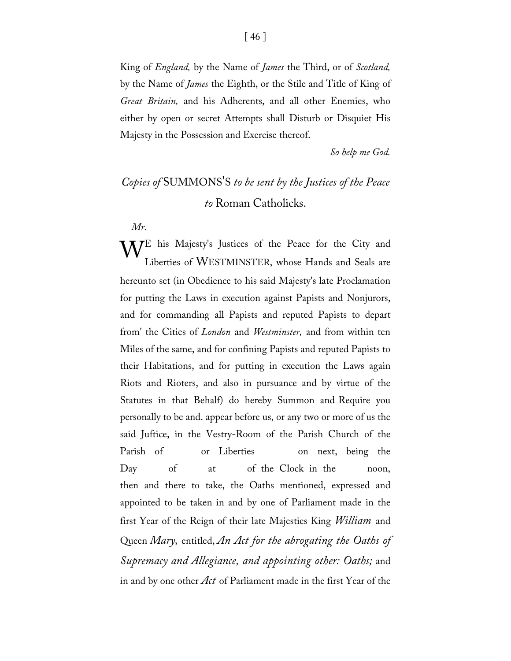King of *England,* by the Name of *James* the Third, or of *Scotland,*  by the Name of *James* the Eighth, or the Stile and Title of King of *Great Britain,* and his Adherents, and all other Enemies, who either by open or secret Attempts shall Disturb or Disquiet His Majesty in the Possession and Exercise thereof.

*So help me God.*

### *Copies of* SUMMONS'S *to be sent by the Justices of the Peace to* Roman Catholicks.

*Mr.*

 $\mathbf{W}^{\rm E}$  his Majesty's Justices of the Peace for the City and Liberties of WESTMINSTER, whose Hands and Seals are Liberties of WESTMINSTER, whose Hands and Seals are hereunto set (in Obedience to his said Majesty's late Proclamation for putting the Laws in execution against Papists and Nonjurors, and for commanding all Papists and reputed Papists to depart from' the Cities of *London* and *Westminster,* and from within ten Miles of the same, and for confining Papists and reputed Papists to their Habitations, and for putting in execution the Laws again Riots and Rioters, and also in pursuance and by virtue of the Statutes in that Behalf) do hereby Summon and Require you personally to be and. appear before us, or any two or more of us the said Juftice, in the Vestry-Room of the Parish Church of the Parish of or Liberties on next, being the Day of at of the Clock in the noon, then and there to take, the Oaths mentioned, expressed and appointed to be taken in and by one of Parliament made in the first Year of the Reign of their late Majesties King *William* and Queen *Mary,* entitled, *An Act for the abrogating the Oaths of Supremacy and Allegiance, and appointing other: Oaths;* and in and by one other *Act* of Parliament made in the first Year of the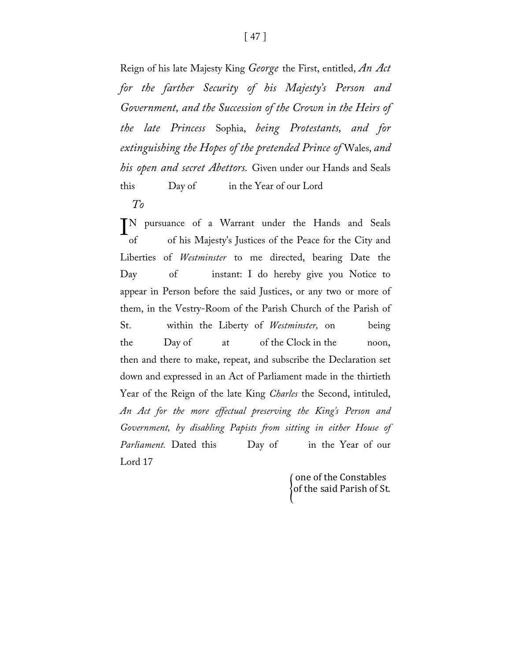Reign of his late Majesty King *George* the First, entitled, *An Act for the farther Security of his Majesty's Person and Government, and the Succession of the Crown in the Heirs of the late Princess* Sophia, *being Protestants, and for extinguishing the Hopes of the pretended Prince of* Wales, *and his open and secret Abettors.* Given under our Hands and Seals this Day of in the Year of our Lord

*To*

pursuance of a Warrant under the Hands and Seals of of his Majesty's Justices of the Peace for the City and Liberties of *Westminster* to me directed, bearing Date the Day of instant: I do hereby give you Notice to appear in Person before the said Justices, or any two or more of them, in the Vestry-Room of the Parish Church of the Parish of St. within the Liberty of *Westminster,* on being the Day of at of the Clock in the noon, then and there to make, repeat, and subscribe the Declaration set down and expressed in an Act of Parliament made in the thirtieth Year of the Reign of the late King *Charles* the Second, intituled, *An Act for the more effectual preserving the King's Person and Government, by disabling Papists from sitting in either House of*  Parliament. Dated this Day of in the Year of our Lord 17 **TN** 

> $\operatorname{\{of}}$  the said Parish of St. one of the Constables